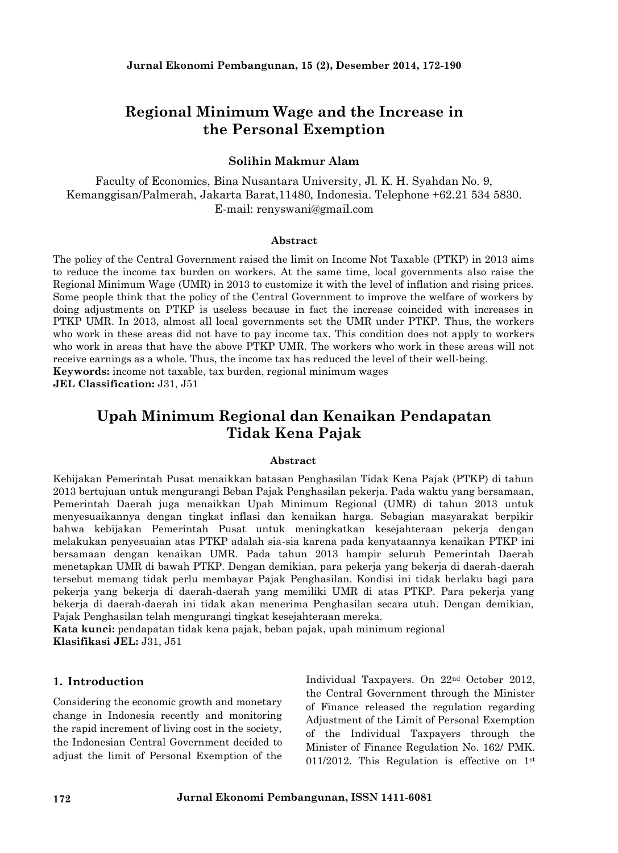# **Regional Minimum Wage and the Increase in the Personal Exemption**

### **Solihin Makmur Alam**

Faculty of Economics, Bina Nusantara University, Jl. K. H. Syahdan No. 9, Kemanggisan/Palmerah, Jakarta Barat,11480, Indonesia. Telephone +62.21 534 5830. E-mail: renyswani@gmail.com

#### **Abstract**

The policy of the Central Government raised the limit on Income Not Taxable (PTKP) in 2013 aims to reduce the income tax burden on workers. At the same time, local governments also raise the Regional Minimum Wage(UMR) in 2013 to customize it with the level of inflation and rising prices. Some people think that the policy of the Central Government to improve the welfare of workers by doing adjustments on PTKP is useless because in fact the increase coincided with increases in PTKP UMR. In 2013, almost all local governments set the UMR under PTKP. Thus, the workers who work in these areas did not have to pay income tax. This condition does not apply to workers who work in areas that have the above PTKP UMR. The workers who work in these areas will not receive earnings as a whole. Thus, the income tax has reduced the level of their well-being. **Keywords:** income not taxable, tax burden, regional minimum wages

**JEL Classification:** J31, J51

# **Upah Minimum Regional dan Kenaikan Pendapatan Tidak Kena Pajak**

#### **Abstract**

Kebijakan Pemerintah Pusat menaikkan batasan Penghasilan Tidak Kena Pajak (PTKP) di tahun 2013 bertujuan untuk mengurangi Beban Pajak Penghasilan pekerja. Pada waktu yang bersamaan, Pemerintah Daerah juga menaikkan Upah Minimum Regional (UMR) di tahun 2013 untuk menyesuaikannya dengan tingkat inflasi dan kenaikan harga. Sebagian masyarakat berpikir bahwa kebijakan Pemerintah Pusat untuk meningkatkan kesejahteraan pekerja dengan melakukan penyesuaian atas PTKP adalah sia-sia karena pada kenyataannya kenaikan PTKP ini bersamaan dengan kenaikan UMR. Pada tahun 2013 hampir seluruh Pemerintah Daerah menetapkan UMR di bawah PTKP. Dengan demikian, para pekerja yang bekerja di daerah-daerah tersebut memang tidak perlu membayar Pajak Penghasilan. Kondisi ini tidak berlaku bagi para pekerja yang bekerja di daerah-daerah yang memiliki UMR di atas PTKP. Para pekerja yang bekerja di daerah-daerah ini tidak akan menerima Penghasilan secara utuh. Dengan demikian, Pajak Penghasilan telah mengurangi tingkat kesejahteraan mereka.

**Kata kunci:** pendapatan tidak kena pajak, beban pajak, upah minimum regional **Klasifikasi JEL:** J31, J51

#### **1. Introduction**

Considering the economic growth and monetary change in Indonesia recently and monitoring the rapid increment of living cost in the society, the Indonesian Central Government decided to adjust the limit of Personal Exemption of the Individual Taxpayers. On 22nd October 2012, the Central Government through the Minister of Finance released the regulation regarding Adjustment of the Limit of Personal Exemption of the Individual Taxpayers through the Minister of Finance Regulation No. 162/ PMK. 011/2012. This Regulation is effective on 1st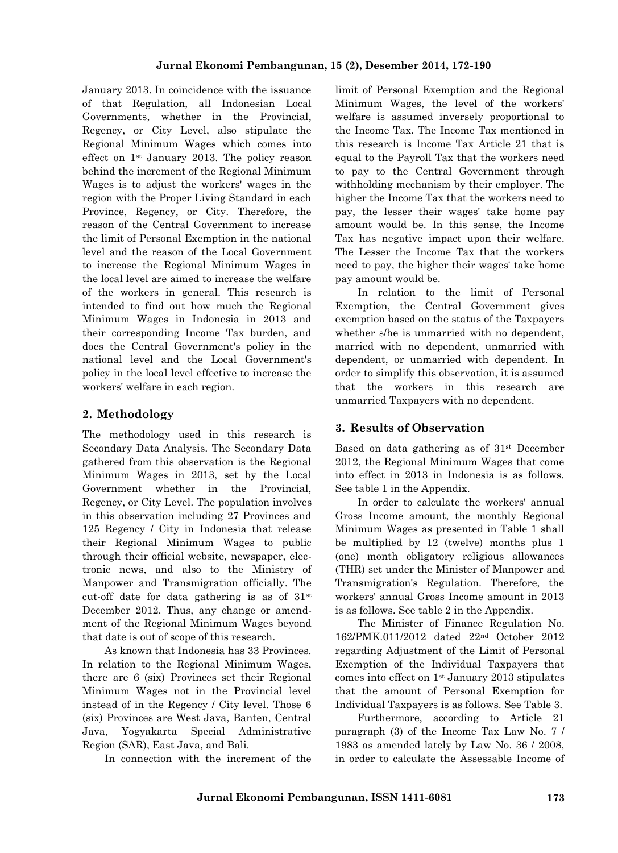January 2013. In coincidence with the issuance of that Regulation, all Indonesian Local Governments, whether in the Provincial, Regency, or City Level, also stipulate the Regional Minimum Wages which comes into effect on 1st January 2013. The policy reason behind the increment of the Regional Minimum Wages is to adjust the workers' wages in the region with the Proper Living Standard in each Province, Regency, or City. Therefore, the reason of the Central Government to increase the limit of Personal Exemption in the national level and the reason of the Local Government to increase the Regional Minimum Wages in the local level are aimed to increase the welfare of the workers in general. This research is intended to find out how much the Regional Minimum Wages in Indonesia in 2013 and their corresponding Income Tax burden, and does the Central Government's policy in the national level and the Local Government's policy in the local level effective to increase the workers' welfare in each region.

### **2. Methodology**

The methodology used in this research is Secondary Data Analysis. The Secondary Data gathered from this observation is the Regional Minimum Wages in 2013, set by the Local Government whether in the Provincial, Regency, or City Level. The population involves in this observation including 27 Provinces and 125 Regency / City in Indonesia that release their Regional Minimum Wages to public through their official website, newspaper, elec tronic news, and also to the Ministry of Manpower and Transmigration officially. The cut-off date for data gathering is as of 31st December 2012. Thus, any change or amend ment of the Regional Minimum Wages beyond that date is out of scope of this research.

As known that Indonesia has 33 Provinces. In relation to the Regional Minimum Wages, there are 6 (six) Provinces set their Regional Minimum Wages not in the Provincial level instead of in the Regency / City level. Those 6 (six) Provinces are West Java, Banten, Central Java, Yogyakarta Special Administrative Region (SAR), East Java, and Bali.

In connection with the increment of the

limit of Personal Exemption and the Regional Minimum Wages, the level of the workers' welfare is assumed inversely proportional to the Income Tax. The Income Tax mentioned in this research is Income Tax Article 21 that is equal to the Payroll Tax that the workers need to pay to the Central Government through withholding mechanism by their employer. The higher the Income Tax that the workers need to pay, the lesser their wages' take home pay amount would be. In this sense, the Income Tax has negative impact upon their welfare. The Lesser the Income Tax that the workers need to pay, the higher their wages' take home pay amount would be.

In relation to the limit of Personal Exemption, the Central Government gives exemption based on the status of the Taxpayers whether s/he is unmarried with no dependent, married with no dependent, unmarried with dependent, or unmarried with dependent. In order to simplify this observation, it is assumed that the workers in this research are unmarried Taxpayers with no dependent.

### **3. Results of Observation**

Based on data gathering as of 31st December 2012, the Regional Minimum Wages that come into effect in 2013 in Indonesia is as follows. See table 1 in the Appendix.

In order to calculate the workers' annual Gross Income amount, the monthly Regional Minimum Wages as presented in Table 1 shall be multiplied by 12 (twelve) months plus 1 (one) month obligatory religious allowances (THR) set under the Minister of Manpower and Transmigration's Regulation. Therefore, the workers' annual Gross Income amount in 2013 is as follows. See table 2 in the Appendix.

The Minister of Finance Regulation No. 162/PMK.011/2012 dated 22nd October 2012 regarding Adjustment of the Limit of Personal Exemption of the Individual Taxpayers that comes into effect on 1st January 2013 stipulates that the amount of Personal Exemption for Individual Taxpayers is as follows. See Table 3.

Furthermore, according to Article 21 paragraph (3) of the Income Tax Law No. 7 / 1983 as amended lately by Law No. 36 / 2008, in order to calculate the Assessable Income of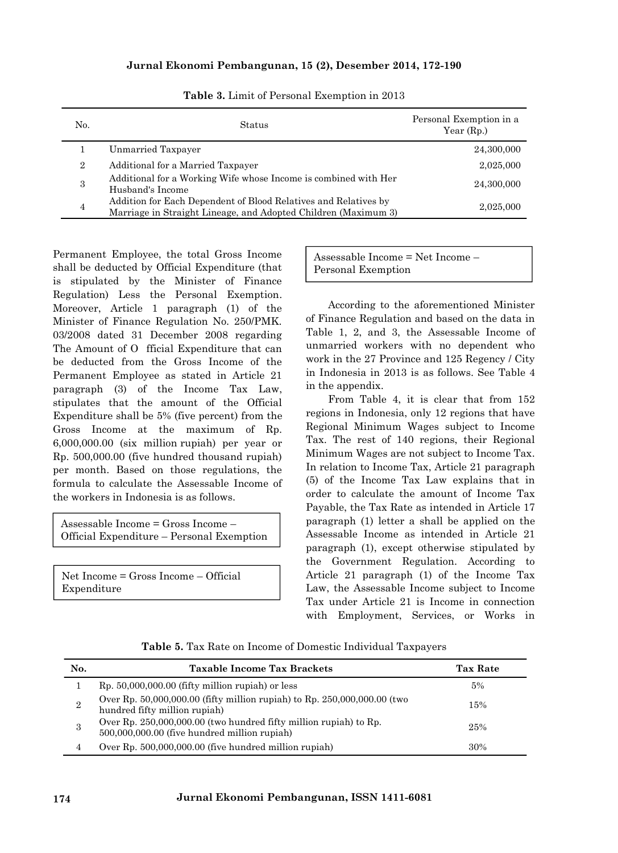| N <sub>0</sub> | Status                                                                                                                            | Personal Exemption in a<br>Year $(Rp.)$ |
|----------------|-----------------------------------------------------------------------------------------------------------------------------------|-----------------------------------------|
|                | Unmarried Taxpayer                                                                                                                | 24,300,000                              |
| $\overline{2}$ | Additional for a Married Taxpayer                                                                                                 | 2,025,000                               |
| 3              | Additional for a Working Wife whose Income is combined with Her<br>Husband's Income                                               | 24,300,000                              |
| $\overline{4}$ | Addition for Each Dependent of Blood Relatives and Relatives by<br>Marriage in Straight Lineage, and Adopted Children (Maximum 3) | 2,025,000                               |

**Table 3.** Limit of Personal Exemption in 2013

Permanent Employee, the total Gross Income shall be deducted by Official Expenditure (that is stipulated by the Minister of Finance Regulation) Less the Personal Exemption. Moreover, Article 1 paragraph (1) of the Minister of Finance Regulation No. 250/PMK. 03/2008 dated 31 December 2008 regarding The Amount of O fficial Expenditure that can be deducted from the Gross Income of the Permanent Employee as stated in Article 21 paragraph (3) of the Income Tax Law, stipulates that the amount of the Official Expenditure shall be 5% (five percent) from the Gross Income at the maximum of Rp. 6,000,000.00 (six million rupiah) per year or Rp. 500,000.00 (five hundred thousand rupiah) per month. Based on those regulations, the formula to calculate the Assessable Income of the workers in Indonesia is as follows.

Assessable Income = Gross Income – Official Expenditure – Personal Exemption

Net Income = Gross Income – Official Expenditure

Assessable Income = Net Income – Personal Exemption

According to the aforementioned Minister of Finance Regulation and based on the data in Table 1, 2, and 3, the Assessable Income of unmarried workers with no dependent who work in the 27 Province and 125 Regency / City in Indonesia in 2013 is as follows. See Table 4 in the appendix.

From Table 4, it is clear that from 152 regions in Indonesia, only 12 regions that have Regional Minimum Wages subject to Income Tax. The rest of 140 regions, their Regional Minimum Wages are not subject to Income Tax. In relation to Income Tax, Article 21 paragraph (5) of the Income Tax Law explains that in order to calculate the amount of Income Tax Payable, the Tax Rate as intended in Article 17 paragraph (1) letter a shall be applied on the Assessable Income as intended in Article 21 paragraph (1), except otherwise stipulated by the Government Regulation. According to Article 21 paragraph (1) of the Income Tax Law, the Assessable Income subject to Income Tax under Article 21 is Income in connection with Employment, Services, or Works in

**Table 5.** Tax Rate on Income of Domestic Individual Taxpayers

| No. | <b>Taxable Income Tax Brackets</b>                                                                                    | <b>Tax Rate</b> |
|-----|-----------------------------------------------------------------------------------------------------------------------|-----------------|
|     | $Rp. 50,000,000.00$ (fifty million rupiah) or less                                                                    | 5%              |
| 2   | Over Rp. 50,000,000.00 (fifty million rupiah) to Rp. 250,000,000.00 (two<br>hundred fifty million rupiah)             | 15%             |
|     | Over $Rp. 250,000,000.00$ (two hundred fifty million rupiah) to $Rp.$<br>500,000,000.00 (five hundred million rupiah) | 25%             |
|     | Over Rp. 500,000,000.00 (five hundred million rupiah)                                                                 | 30%             |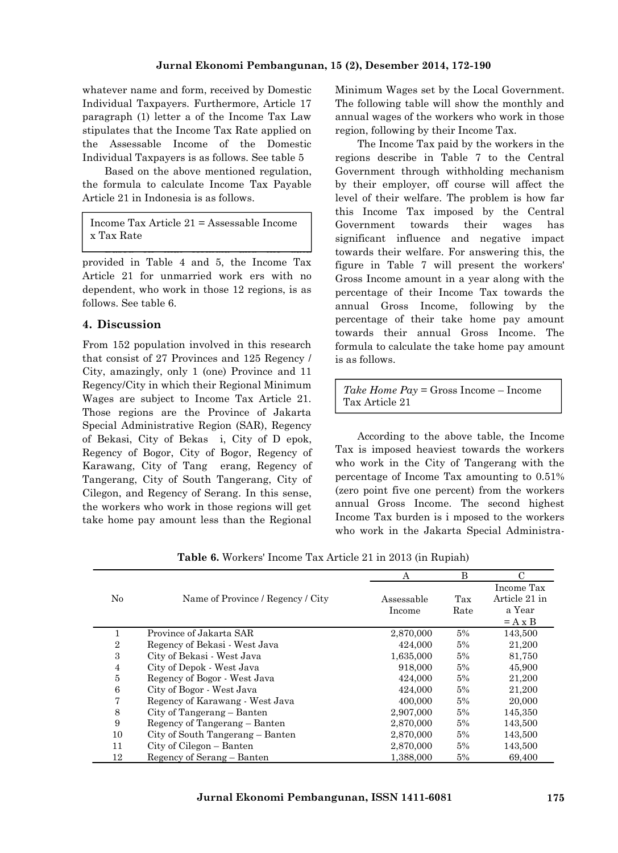whatever name and form, received by Domestic Individual Taxpayers. Furthermore, Article 17 paragraph (1) letter a of the Income Tax Law stipulates that the Income Tax Rate applied on the Assessable Income of the Domestic Individual Taxpayers is as follows. See table 5

Based on the above mentioned regulation, the formula to calculate Income Tax Payable Article 21 in Indonesia is as follows.

Income Tax Article 21 = Assessable Income x Tax Rate

provided in Table 4 and 5, the Income Tax Article 21 for unmarried work ers with no dependent, who work in those 12 regions, is as follows. See table 6.

### **4. Discussion**

From 152 population involved in this research that consist of 27 Provinces and 125 Regency / City, amazingly, only 1 (one) Province and 11 Regency/City in which their Regional Minimum Wages are subject to Income Tax Article 21. Those regions are the Province of Jakarta Special Administrative Region (SAR), Regency of Bekasi, City of Bekas i, City of D epok, Regency of Bogor, City of Bogor, Regency of Karawang, City of Tang erang, Regency of Tangerang, City of South Tangerang, City of Cilegon, and Regency of Serang. In this sense, the workers who work in those regions will get take home pay amount less than the Regional Minimum Wages set by the Local Government. The following table will show the monthly and annual wages of the workers who work in those region, following by their Income Tax.

 $\overline{\phantom{a}}$   $\overline{\phantom{a}}$   $\overline{\phantom{a}}$   $\overline{\phantom{a}}$   $\overline{\phantom{a}}$   $\overline{\phantom{a}}$   $\overline{\phantom{a}}$   $\overline{\phantom{a}}$   $\overline{\phantom{a}}$   $\overline{\phantom{a}}$   $\overline{\phantom{a}}$   $\overline{\phantom{a}}$   $\overline{\phantom{a}}$   $\overline{\phantom{a}}$   $\overline{\phantom{a}}$   $\overline{\phantom{a}}$   $\overline{\phantom{a}}$   $\overline{\phantom{a}}$   $\overline{\$ The Income Tax paid by the workers in the regions describe in Table 7 to the Central Government through withholding mechanism by their employer, off course will affect the level of their welfare. The problem is how far this Income Tax imposed by the Central Government towards their wages has significant influence and negative impact towards their welfare. For answering this, the figure in Table 7 will present the workers' Gross Income amount in a year along with the percentage of their Income Tax towards the annual Gross Income, following by the percentage of their take home pay amount towards their annual Gross Income. The formula to calculate the take home pay amount is as follows.

> *Take Home Pay* = Gross Income – Income Tax Article 21

According to the above table, the Income Tax is imposed heaviest towards the workers who work in the City of Tangerang with the percentage of Income Tax amounting to 0.51% (zero point five one percent) from the workers annual Gross Income. The second highest Income Tax burden is i mposed to the workers who work in the Jakarta Special Administra-

|                |                                   | А          | B     |               |
|----------------|-----------------------------------|------------|-------|---------------|
|                |                                   |            |       | Income Tax    |
| No             | Name of Province / Regency / City | Assessable | Tax   | Article 21 in |
|                |                                   | Income     | Rate  | a Year        |
|                |                                   |            |       | $= A x B$     |
|                | Province of Jakarta SAR           | 2,870,000  | $5\%$ | 143,500       |
| $\overline{2}$ | Regency of Bekasi - West Java     | 424,000    | 5%    | 21,200        |
| 3              | City of Bekasi - West Java        | 1,635,000  | 5%    | 81,750        |
| 4              | City of Depok - West Java         | 918,000    | $5\%$ | 45,900        |
| 5              | Regency of Bogor - West Java      | 424,000    | 5%    | 21,200        |
| 6              | City of Bogor - West Java         | 424,000    | $5\%$ | 21,200        |
| $\overline{7}$ | Regency of Karawang - West Java   | 400,000    | $5\%$ | 20,000        |
| 8              | City of Tangerang – Banten        | 2,907,000  | $5\%$ | 145,350       |
| 9              | Regency of Tangerang – Banten     | 2,870,000  | $5\%$ | 143,500       |
| 10             | City of South Tangerang – Banten  | 2,870,000  | 5%    | 143,500       |
| 11             | City of Cilegon – Banten          | 2,870,000  | $5\%$ | 143,500       |
| 12             | Regency of Serang – Banten        | 1,388,000  | 5%    | 69,400        |

**Table 6.** Workers' Income Tax Article 21 in 2013 (in Rupiah)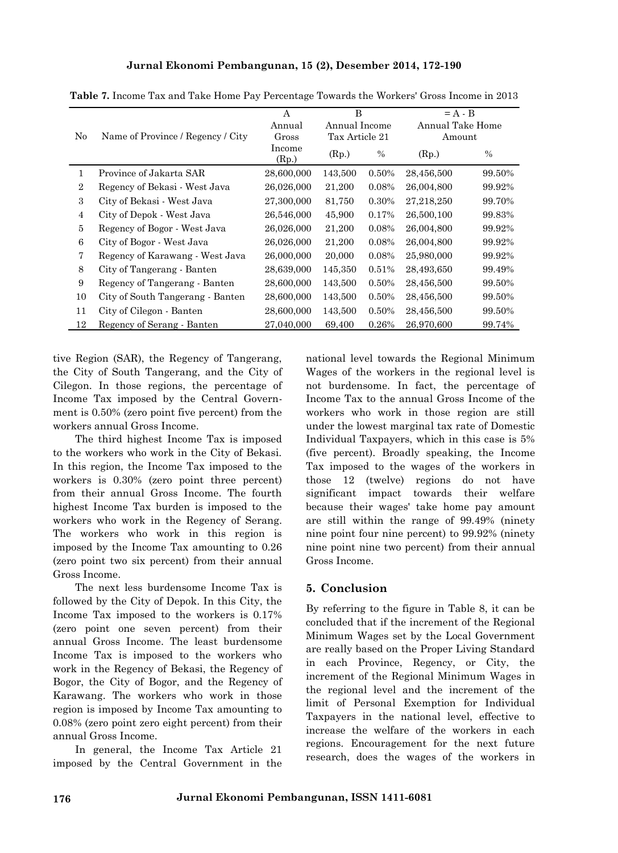|                |                                   | A               | B              |       | $= A - B$        |        |
|----------------|-----------------------------------|-----------------|----------------|-------|------------------|--------|
|                | Name of Province / Regency / City | Annual          | Annual Income  |       | Annual Take Home |        |
| No             |                                   | Gross           | Tax Article 21 |       | Amount           |        |
|                |                                   | Income<br>(Rp.) | (Rp.)          | $\%$  | (Rp.)            | $\%$   |
| 1              | Province of Jakarta SAR           | 28,600,000      | 143,500        | 0.50% | 28,456,500       | 99.50% |
| $\overline{2}$ | Regency of Bekasi - West Java     | 26,026,000      | 21,200         | 0.08% | 26,004,800       | 99.92% |
| 3              | City of Bekasi - West Java        | 27,300,000      | 81,750         | 0.30% | 27,218,250       | 99.70% |
| 4              | City of Depok - West Java         | 26,546,000      | 45,900         | 0.17% | 26,500,100       | 99.83% |
| 5              | Regency of Bogor - West Java      | 26,026,000      | 21,200         | 0.08% | 26,004,800       | 99.92% |
| 6              | City of Bogor - West Java         | 26,026,000      | 21,200         | 0.08% | 26,004,800       | 99.92% |
| 7              | Regency of Karawang - West Java   | 26,000,000      | 20,000         | 0.08% | 25,980,000       | 99.92% |
| 8              | City of Tangerang - Banten        | 28,639,000      | 145,350        | 0.51% | 28,493,650       | 99.49% |
| 9              | Regency of Tangerang - Banten     | 28,600,000      | 143,500        | 0.50% | 28,456,500       | 99.50% |
| 10             | City of South Tangerang - Banten  | 28,600,000      | 143,500        | 0.50% | 28,456,500       | 99.50% |
| 11             | City of Cilegon - Banten          | 28,600,000      | 143,500        | 0.50% | 28,456,500       | 99.50% |
| 12             | Regency of Serang - Banten        | 27,040,000      | 69,400         | 0.26% | 26,970,600       | 99.74% |

**Table 7.** Income Tax and Take Home Pay Percentage Towards the Workers' Gross Income in 2013

tive Region (SAR), the Regency of Tangerang, the City of South Tangerang, and the City of Cilegon. In those regions, the percentage of Income Tax imposed by the Central Govern ment is 0.50% (zero point five percent) from the workers annual Gross Income.

The third highest Income Tax is imposed to the workers who work in the City of Bekasi. In this region, the Income Tax imposed to the workers is 0.30% (zero point three percent) from their annual Gross Income. The fourth highest Income Tax burden is imposed to the workers who work in the Regency of Serang. The workers who work in this region is imposed by the Income Tax amounting to 0.26 (zero point two six percent) from their annual Gross Income.

The next less burdensome Income Tax is followed by the City of Depok. In this City, the Income Tax imposed to the workers is 0.17% (zero point one seven percent) from their annual Gross Income. The least burdensome Income Tax is imposed to the workers who work in the Regency of Bekasi, the Regency of Bogor, the City of Bogor, and the Regency of Karawang. The workers who work in those region is imposed by Income Tax amounting to 0.08% (zero point zero eight percent) from their annual Gross Income.

In general, the Income Tax Article 21 imposed by the Central Government in the national level towards the Regional Minimum Wages of the workers in the regional level is not burdensome. In fact, the percentage of Income Tax to the annual Gross Income of the workers who work in those region are still under the lowest marginal tax rate of Domestic Individual Taxpayers, which in this case is 5% (five percent). Broadly speaking, the Income Tax imposed to the wages of the workers in those 12 (twelve) regions do not have significant impact towards their welfare because their wages' take home pay amount are still within the range of 99.49% (ninety nine point four nine percent) to 99.92% (ninety nine point nine two percent) from their annual Gross Income.

### **5. Conclusion**

By referring to the figure in Table 8, it can be concluded that if the increment of the Regional Minimum Wages set by the Local Government are really based on the Proper Living Standard in each Province, Regency, or City, the increment of the Regional Minimum Wages in the regional level and the increment of the limit of Personal Exemption for Individual Taxpayers in the national level, effective to increase the welfare of the workers in each regions. Encouragement for the next future research, does the wages of the workers in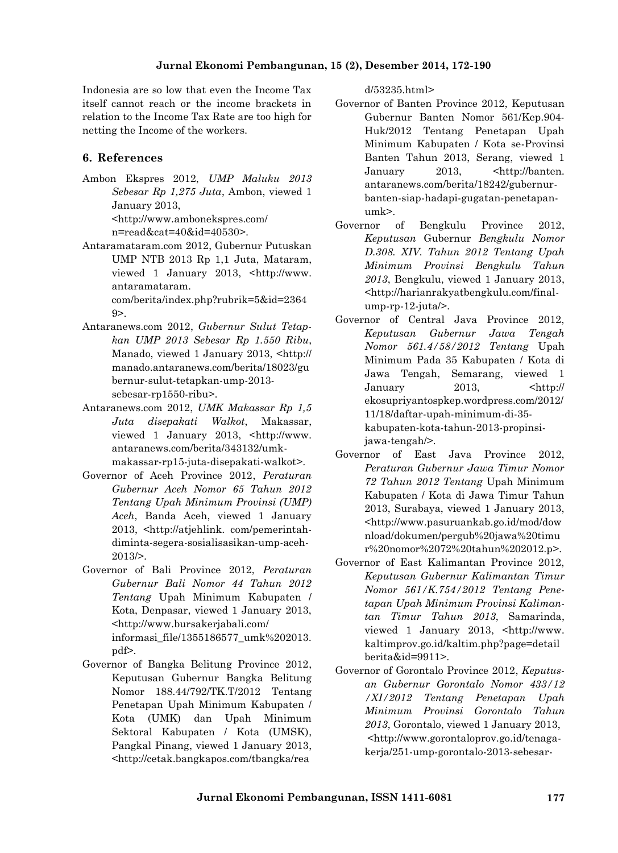Indonesia are so low that even the Income Tax itself cannot reach or the income brackets in relation to the Income Tax Rate are too high for netting the Income of the workers.

### **6. References**

Ambon Ekspres 2012, *UMP Maluku 2013 Sebesar Rp 1,275 Juta*, Ambon, viewed 1 January 2013,

<http://www.ambonekspres.com/ n=read&cat=40&id=40530>.

Antaramataram.com 2012, Gubernur Putuskan UMP NTB 2013 Rp 1,1 Juta, Mataram, viewed 1 January 2013, <http://www. antaramataram. com/berita/index.php?rubrik=5&id=2364

9>. Antaranews.com 2012, *Gubernur Sulut Tetap-*

- *kan UMP 2013 Sebesar Rp 1.550 Ribu*, Manado, viewed 1 January 2013, <http:// manado.antaranews.com/berita/18023/gu bernur-sulut-tetapkan-ump-2013 sebesar-rp1550-ribu>.
- Antaranews.com 2012, *UMK Makassar Rp 1,5 Juta disepakati Walkot*, Makassar, viewed 1 January 2013, <http://www. antaranews.com/berita/343132/umk makassar-rp15-juta-disepakati-walkot>.
- Governor of Aceh Province 2012, *Peraturan Gubernur Aceh Nomor 65 Tahun 2012 Tentang Upah Minimum Provinsi (UMP) Aceh*, Banda Aceh, viewed 1 January 2013, <http://atjehlink. com/pemerintah diminta-segera-sosialisasikan-ump-aceh- 2013/>.
- Governor of Bali Province 2012, *Peraturan Gubernur Bali Nomor 44 Tahun 2012 Tentang* Upah Minimum Kabupaten / Kota, Denpasar, viewed 1 January 2013, <http://www.bursakerjabali.com/ informasi\_file/1355186577\_umk%202013. pdf>.
- Governor of Bangka Belitung Province 2012, Keputusan Gubernur Bangka Belitung Nomor 188.44/792/TK.T/2012 Tentang Penetapan Upah Minimum Kabupaten / Kota (UMK) dan Upah Minimum Sektoral Kabupaten / Kota (UMSK), Pangkal Pinang, viewed 1 January 2013, <http://cetak.bangkapos.com/tbangka/rea

d/53235.html>

- Governor of Banten Province 2012, Keputusan Gubernur Banten Nomor 561/Kep.904- Huk/2012 Tentang Penetapan Upah Minimum Kabupaten / Kota se-Provinsi Banten Tahun 2013, Serang, viewed 1 January 2013, <http://banten. antaranews.com/berita/18242/gubernur banten-siap-hadapi-gugatan-penetapan umk>.
- Governor of Bengkulu Province 2012, *Keputusan* Gubernur *Bengkulu Nomor D.308. XIV. Tahun 2012 Tentang Upah Minimum Provinsi Bengkulu Tahun 2013*, Bengkulu, viewed 1 January 2013, <http://harianrakyatbengkulu.com/final ump-rp-12-juta/>.
- Governor of Central Java Province 2012, *Keputusan Gubernur Jawa Tengah Nomor 561.4/58/2012 Tentang* Upah Minimum Pada 35 Kabupaten / Kota di Jawa Tengah, Semarang, viewed 1 January 2013, <http:// ekosupriyantospkep.wordpress.com/2012/ 11/18/daftar-upah-minimum-di-35 kabupaten-kota-tahun-2013-propinsijawa-tengah/>.
- Governor of East Java Province 2012, *Peraturan Gubernur Jawa Timur Nomor 72 Tahun 2012 Tentang* Upah Minimum Kabupaten / Kota di Jawa Timur Tahun 2013, Surabaya, viewed 1 January 2013, <http://www.pasuruankab.go.id/mod/dow nload/dokumen/pergub%20jawa%20timu r%20nomor%2072%20tahun%202012.p>.
- Governor of East Kalimantan Province 2012, *Keputusan Gubernur Kalimantan Timur Nomor 561/K.754/2012 Tentang Pene tapan Upah Minimum Provinsi Kaliman tan Timur Tahun 2013*, Samarinda, viewed 1 January 2013, <http://www. kaltimprov.go.id/kaltim.php?page=detail berita&id=9911>.
- Governor of Gorontalo Province 2012, *Keputus an Gubernur Gorontalo Nomor 433/12 /XI/2012 Tentang Penetapan Upah Minimum Provinsi Gorontalo Tahun 2013*, Gorontalo, viewed 1 January 2013, <http://www.gorontaloprov.go.id/tenaga kerja/251-ump-gorontalo-2013-sebesar-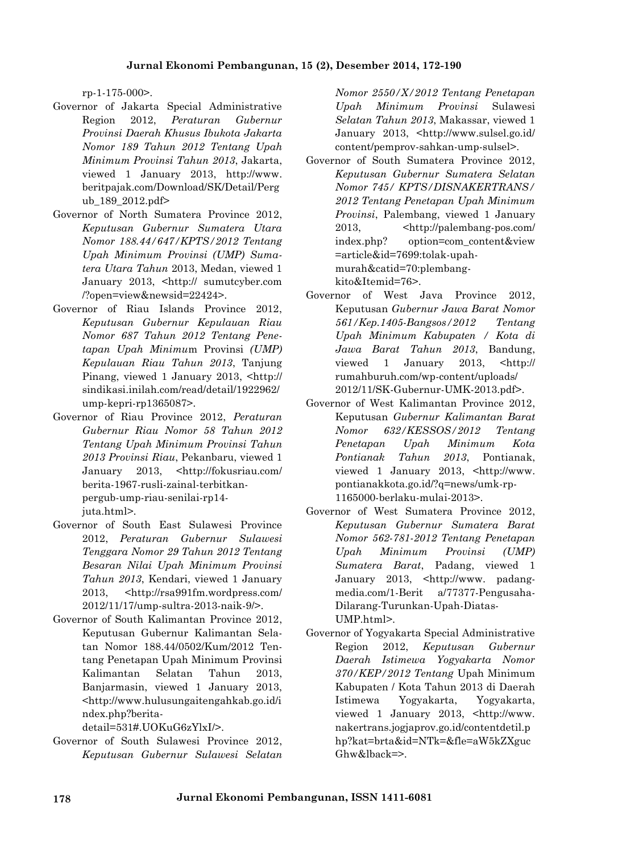rp-1-175-000>.

- Governor of Jakarta Special Administrative Region 2012, *Peraturan Gubernur Provinsi Daerah Khusus Ibukota Jakarta Nomor 189 Tahun 2012 Tentang Upah Minimum Provinsi Tahun 2013*, Jakarta, viewed 1 January 2013, http://www. beritpajak.com/Download/SK/Detail/Perg ub\_189\_2012.pdf>
- Governor of North Sumatera Province 2012, *Keputusan Gubernur Sumatera Utara Nomor 188.44/647/KPTS/2012 Tentang Upah Minimum Provinsi (UMP) Suma tera Utara Tahun* 2013, Medan, viewed 1 January 2013, <http:// sumutcyber.com /?open=view&newsid=22424>.
- Governor of Riau Islands Province 2012, *Keputusan Gubernur Kepulauan Riau Nomor 687 Tahun 2012 Tentang Pene tapan Upah Minimu*m Provinsi *(UMP) Kepulauan Riau Tahun 2013*, Tanjung Pinang, viewed 1 January 2013, <http:// sindikasi.inilah.com/read/detail/1922962/ ump-kepri-rp1365087>.
- Governor of Riau Province 2012, *Peraturan Gubernur Riau Nomor 58 Tahun 2012 Tentang Upah Minimum Provinsi Tahun 2013 Provinsi Riau*, Pekanbaru, viewed 1 January 2013, <http://fokusriau.com/ berita-1967-rusli-zainal-terbitkan pergub-ump-riau-senilai-rp14 juta.html>.
- Governor of South East Sulawesi Province 2012, *Peraturan Gubernur Sulawesi Tenggara Nomor 29 Tahun 2012 Tentang Besaran Nilai Upah Minimum Provinsi Tahun 2013*, Kendari, viewed 1 January 2013, <http://rsa991fm.wordpress.com/ 2012/11/17/ump-sultra-2013-naik-9/>.
- Governor of South Kalimantan Province 2012, Keputusan Gubernur Kalimantan Sela tan Nomor 188.44/0502/Kum/2012 Ten tang Penetapan Upah Minimum Provinsi Kalimantan Selatan Tahun 2013, Banjarmasin, viewed 1 January 2013, <http://www.hulusungaitengahkab.go.id/i ndex.php?berita-

detail=531#.UOKuG6zYlxI/>.

Governor of South Sulawesi Province 2012, *Keputusan Gubernur Sulawesi Selatan* *Nomor 2550/X/2012 Tentang Penetapan Upah Minimum Provinsi* Sulawesi *Selatan Tahun 2013*, Makassar, viewed 1 January 2013, <http://www.sulsel.go.id/ content/pemprov-sahkan-ump-sulsel>.

- Governor of South Sumatera Province 2012, *Keputusan Gubernur Sumatera Selatan Nomor 745/ KPTS/DISNAKERTRANS/ 2012 Tentang Penetapan Upah Minimum Provinsi*, Palembang, viewed 1 January 2013, <http://palembang-pos.com/ index.php? option=com\_content&view =article&id=7699:tolak-upah murah&catid=70:plembang kito&Itemid=76>.
- Governor of West Java Province 2012, Keputusan *Gubernur Jawa Barat Nomor 561/Kep.1405-Bangsos/2012 Tentang Upah Minimum Kabupaten / Kota di Jawa Barat Tahun 2013*, Bandung, viewed 1 January 2013, <http:// rumahburuh.com/wp-content/uploads/ 2012/11/SK-Gubernur-UMK-2013.pdf>.
- Governor of West Kalimantan Province 2012, Keputusan *Gubernur Kalimantan Barat Nomor 632/KESSOS/2012 Tentang Penetapan Upah Minimum Kota Pontianak Tahun 2013*, Pontianak, viewed 1 January 2013, <http://www. pontianakkota.go.id/?q=news/umk-rp- 1165000-berlaku-mulai-2013>.
- Governor of West Sumatera Province 2012, *Keputusan Gubernur Sumatera Barat Nomor 562-781-2012 Tentang Penetapan Upah Minimum Provinsi (UMP) Sumatera Barat*, Padang, viewed 1 January 2013, <http://www. padang media.com/1-Berit a/77377-Pengusaha- Dilarang-Turunkan-Upah-Diatas- UMP.html>.
- Governor of Yogyakarta Special Administrative Region 2012, *Keputusan Gubernur Daerah Istimewa Yogyakarta Nomor 370/KEP/2012 Tentang* Upah Minimum Kabupaten / Kota Tahun 2013 di Daerah Istimewa Yogyakarta, Yogyakarta, viewed 1 January 2013, <http://www. nakertrans.jogjaprov.go.id/contentdetil.p hp?kat=brta&id=NTk=&fle=aW5kZXguc Ghw&lback=>.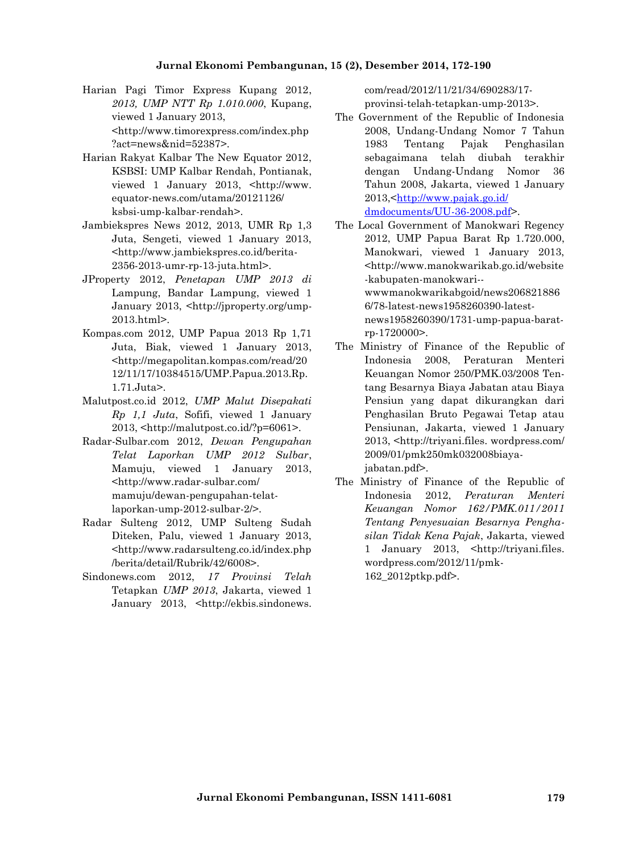- Harian Pagi Timor Express Kupang 2012, *2013, UMP NTT Rp 1.010.000*, Kupang, viewed 1 January 2013, <http://www.timorexpress.com/index.php ?act=news&nid=52387>.
- Harian Rakyat Kalbar The New Equator 2012, KSBSI: UMP Kalbar Rendah, Pontianak, viewed 1 January 2013, <http://www. equator-news.com/utama/20121126/ ksbsi-ump-kalbar-rendah>.
- Jambiekspres News 2012, 2013, UMR Rp 1,3 Juta, Sengeti, viewed 1 January 2013, <http://www.jambiekspres.co.id/berita- 2356-2013-umr-rp-13-juta.html>.
- JProperty 2012, *Penetapan UMP 2013 di* Lampung, Bandar Lampung, viewed 1 January 2013, <http://jproperty.org/ump- 2013.html>.
- Kompas.com 2012, UMP Papua 2013 Rp 1,71 Juta, Biak, viewed 1 January 2013, <http://megapolitan.kompas.com/read/20 12/11/17/10384515/UMP.Papua.2013.Rp. 1.71.Juta>.
- Malutpost.co.id 2012, *UMP Malut Disepakati Rp 1,1 Juta*, Sofifi, viewed 1 January 2013, <http://malutpost.co.id/?p=6061>.
- Radar-Sulbar.com 2012, *Dewan Pengupahan Telat Laporkan UMP 2012 Sulbar*, Mamuju, viewed 1 January 2013, <http://www.radar-sulbar.com/ mamuju/dewan-pengupahan-telatlaporkan-ump-2012-sulbar-2/>.
- Radar Sulteng 2012, UMP Sulteng Sudah Diteken, Palu, viewed 1 January 2013, <http://www.radarsulteng.co.id/index.php /berita/detail/Rubrik/42/6008>.
- Sindonews.com 2012, *17 Provinsi Telah* Tetapkan *UMP 2013*, Jakarta, viewed 1 January 2013, <http://ekbis.sindonews.

com/read/2012/11/21/34/690283/17 provinsi-telah-tetapkan-ump-2013>.

- The Government of the Republic of Indonesia 2008, Undang-Undang Nomor 7 Tahun 1983 Tentang Pajak Penghasilan sebagaimana telah diubah terakhir dengan Undang-Undang Nomor 36 Tahun 2008, Jakarta, viewed 1 January 2013,<http://www.pajak.go.id/ dmdocuments/UU-36-2008.pdf>.
- The Local Government of Manokwari Regency 2012, UMP Papua Barat Rp 1.720.000, Manokwari, viewed 1 January 2013, <http://www.manokwarikab.go.id/website -kabupaten-manokwari- wwwmanokwarikabgoid/news206821886 6/78-latest-news1958260390-latest news1958260390/1731-ump-papua-barat rp-1720000>.
- The Ministry of Finance of the Republic of Indonesia 2008, Peraturan Menteri Keuangan Nomor 250/PMK.03/2008 Ten tang Besarnya Biaya Jabatan atau Biaya Pensiun yang dapat dikurangkan dari Penghasilan Bruto Pegawai Tetap atau Pensiunan, Jakarta, viewed 1 January 2013, <http://triyani.files. wordpress.com/ 2009/01/pmk250mk032008biayajabatan.pdf>.
- The Ministry of Finance of the Republic of Indonesia 2012, *Peraturan Menteri Keuangan Nomor 162/PMK.011/2011 Tentang Penyesuaian Besarnya Pengha silan Tidak Kena Pajak*, Jakarta, viewed 1 January 2013, <http://triyani.files. wordpress.com/2012/11/pmk- 162\_2012ptkp.pdf>.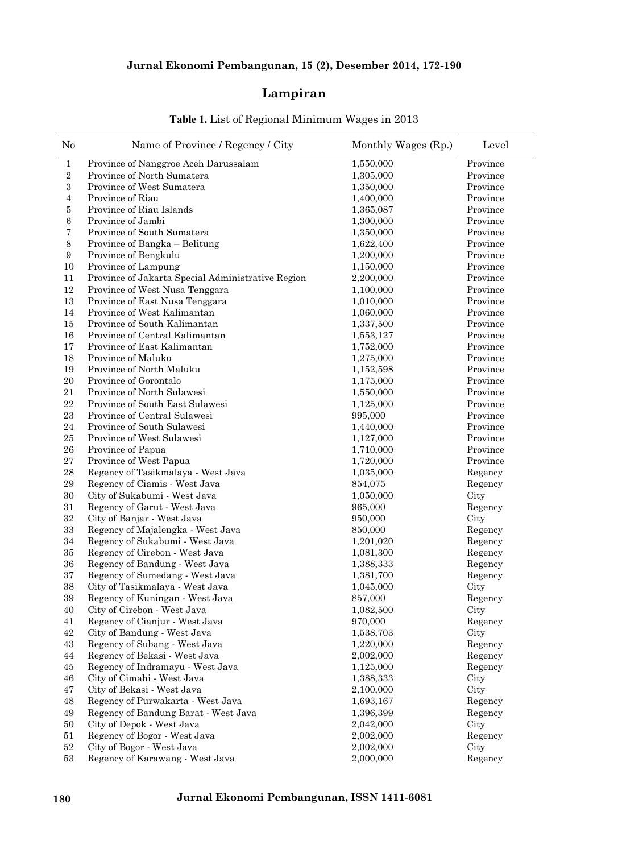### **Lampiran**

| N <sub>0</sub>    | Name of Province / Regency / City                 | Monthly Wages (Rp.) | Level    |
|-------------------|---------------------------------------------------|---------------------|----------|
| $\mathbf{1}$      | Province of Nanggroe Aceh Darussalam              | 1,550,000           | Province |
| $\,2$             | Province of North Sumatera                        | 1,305,000           | Province |
| $\,3$             | Province of West Sumatera                         | 1,350,000           | Province |
| $\bf{4}$          | Province of Riau                                  | 1,400,000           | Province |
| 5                 | Province of Riau Islands                          | 1,365,087           | Province |
| 6                 | Province of Jambi                                 | 1,300,000           | Province |
| $\scriptstyle{7}$ | Province of South Sumatera                        | 1,350,000           | Province |
| $\,8\,$           | Province of Bangka - Belitung                     | 1,622,400           | Province |
| $\boldsymbol{9}$  | Province of Bengkulu                              | 1,200,000           | Province |
| 10                | Province of Lampung                               | 1,150,000           | Province |
| 11                | Province of Jakarta Special Administrative Region | 2,200,000           | Province |
| 12                | Province of West Nusa Tenggara                    | 1,100,000           | Province |
| 13                | Province of East Nusa Tenggara                    | 1,010,000           | Province |
| 14                | Province of West Kalimantan                       | 1,060,000           | Province |
| 15                | Province of South Kalimantan                      | 1,337,500           | Province |
| 16                | Province of Central Kalimantan                    | 1,553,127           | Province |
| 17                | Province of East Kalimantan                       | 1,752,000           | Province |
| 18                | Province of Maluku                                | 1,275,000           | Province |
| 19                | Province of North Maluku                          | 1,152,598           | Province |
| 20                | Province of Gorontalo                             | 1,175,000           | Province |
| 21                | Province of North Sulawesi                        | 1,550,000           | Province |
| $\bf 22$          | Province of South East Sulawesi                   | 1,125,000           | Province |
| 23                | Province of Central Sulawesi                      | 995,000             | Province |
| 24                | Province of South Sulawesi                        | 1,440,000           | Province |
| $\bf 25$          | Province of West Sulawesi                         | 1,127,000           | Province |
| 26                | Province of Papua                                 | 1,710,000           | Province |
| 27                | Province of West Papua                            | 1,720,000           | Province |
| 28                | Regency of Tasikmalaya - West Java                | 1,035,000           | Regency  |
| 29                | Regency of Ciamis - West Java                     | 854,075             | Regency  |
| 30                | City of Sukabumi - West Java                      | 1,050,000           | City     |
| 31                | Regency of Garut - West Java                      | 965,000             | Regency  |
| 32                | City of Banjar - West Java                        | 950,000             | City     |
| $33\,$            | Regency of Majalengka - West Java                 | 850,000             | Regency  |
| 34                | Regency of Sukabumi - West Java                   | 1,201,020           | Regency  |
| $35\,$            | Regency of Cirebon - West Java                    | 1,081,300           | Regency  |
| $36\,$            | Regency of Bandung - West Java                    | 1,388,333           | Regency  |
| 37                | Regency of Sumedang - West Java                   | 1,381,700           | Regency  |
| $38\,$            | City of Tasikmalaya - West Java                   | 1,045,000           | City     |
| 39                | Regency of Kuningan - West Java                   | 857,000             | Regency  |
| 40                | City of Cirebon - West Java                       | 1,082,500           | City     |
| 41                | Regency of Cianjur - West Java                    | 970,000             | Regency  |
| $42\,$            | City of Bandung - West Java                       | 1,538,703           | City     |
| $43\,$            | Regency of Subang - West Java                     | 1,220,000           | Regency  |
| 44                | Regency of Bekasi - West Java                     | 2,002,000           | Regency  |
| 45                | Regency of Indramayu - West Java                  | 1,125,000           | Regency  |
| 46                | City of Cimahi - West Java                        | 1,388,333           | City     |
| 47                | City of Bekasi - West Java                        | 2,100,000           | City     |
| 48                | Regency of Purwakarta - West Java                 | 1,693,167           | Regency  |
| 49                | Regency of Bandung Barat - West Java              | 1,396,399           | Regency  |
| 50                | City of Depok - West Java                         | 2,042,000           | City     |
| 51                | Regency of Bogor - West Java                      | 2,002,000           | Regency  |
| $52\,$            | City of Bogor - West Java                         | 2,002,000           | City     |
| $53\,$            | Regency of Karawang - West Java                   | 2,000,000           | Regency  |

### **Table 1.** List of Regional Minimum Wages in 2013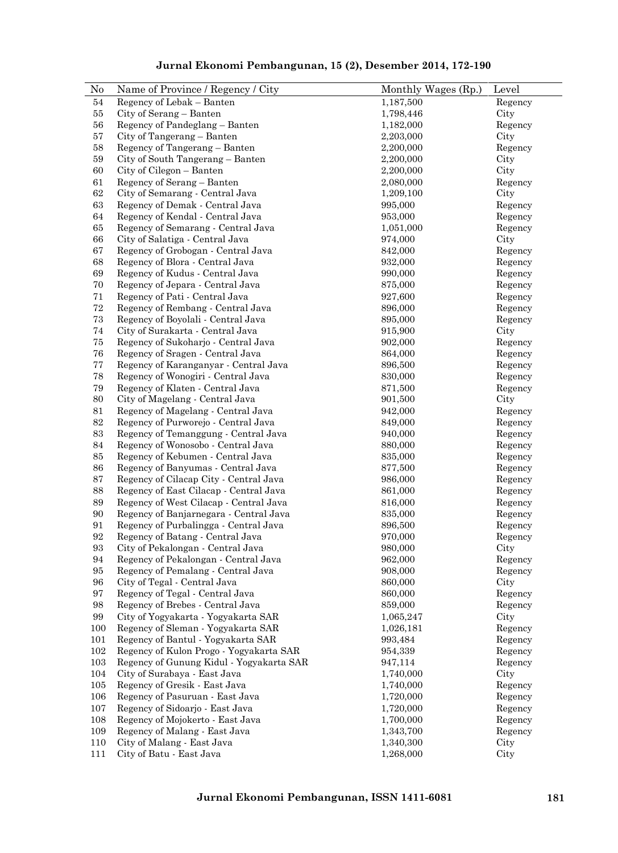| N <sub>0</sub>    | Name of Province / Regency / City        | Monthly Wages (Rp.) | Level   |
|-------------------|------------------------------------------|---------------------|---------|
| 54                | Regency of Lebak - Banten                | 1,187,500           | Regency |
| 55                | City of Serang - Banten                  | 1,798,446           | City    |
| 56                | Regency of Pandeglang - Banten           | 1,182,000           | Regency |
| 57                | City of Tangerang - Banten               | 2,203,000           | City    |
| 58                | Regency of Tangerang - Banten            | 2,200,000           | Regency |
| $59\,$            | City of South Tangerang - Banten         | 2,200,000           | City    |
| $60\,$            | City of Cilegon - Banten                 | 2,200,000           | City    |
| 61                | Regency of Serang - Banten               | 2,080,000           | Regency |
| $62\,$            | City of Semarang - Central Java          | 1,209,100           | City    |
| 63                | Regency of Demak - Central Java          | 995,000             | Regency |
| 64                | Regency of Kendal - Central Java         | 953,000             | Regency |
| 65                | Regency of Semarang - Central Java       | 1,051,000           | Regency |
| 66                | City of Salatiga - Central Java          | 974,000             | City    |
| 67                | Regency of Grobogan - Central Java       | 842,000             | Regency |
| 68                | Regency of Blora - Central Java          | 932,000             | Regency |
| 69                | Regency of Kudus - Central Java          | 990,000             | Regency |
| $70\,$            | Regency of Jepara - Central Java         | 875,000             | Regency |
| 71                | Regency of Pati - Central Java           | 927,600             | Regency |
| $\sqrt{72}$       | Regency of Rembang - Central Java        | 896,000             | Regency |
| $73\,$            | Regency of Boyolali - Central Java       | 895,000             | Regency |
| $74\,$            | City of Surakarta - Central Java         | 915,900             | City    |
| $75\,$            | Regency of Sukoharjo - Central Java      | 902,000             | Regency |
| 76                | Regency of Sragen - Central Java         | 864,000             | Regency |
| $77\,$            | Regency of Karanganyar - Central Java    | 896,500             | Regency |
| 78                | Regency of Wonogiri - Central Java       | 830,000             | Regency |
| 79                | Regency of Klaten - Central Java         | 871,500             | Regency |
| 80                | City of Magelang - Central Java          | 901,500             | City    |
| 81                | Regency of Magelang - Central Java       | 942,000             | Regency |
| $82\,$            | Regency of Purworejo - Central Java      | 849,000             | Regency |
| 83                | Regency of Temanggung - Central Java     | 940,000             | Regency |
| $84\,$            | Regency of Wonosobo - Central Java       | 880,000             | Regency |
| 85                | Regency of Kebumen - Central Java        | 835,000             | Regency |
| 86                | Regency of Banyumas - Central Java       | 877,500             | Regency |
| 87                | Regency of Cilacap City - Central Java   | 986,000             | Regency |
| 88                | Regency of East Cilacap - Central Java   | 861,000             | Regency |
| 89                | Regency of West Cilacap - Central Java   | 816,000             | Regency |
| $90\,$            | Regency of Banjarnegara - Central Java   | 835,000             | Regency |
| 91                | Regency of Purbalingga - Central Java    | 896,500             | Regency |
| 92                | Regency of Batang - Central Java         | 970,000             | Regency |
| $\boldsymbol{93}$ | City of Pekalongan - Central Java        | 980,000             | City    |
| 94                | Regency of Pekalongan - Central Java     | 962,000             | Regency |
| 95                | Regency of Pemalang - Central Java       | 908,000             | Regency |
| 96                | City of Tegal - Central Java             | 860,000             | City    |
| 97                | Regency of Tegal - Central Java          | 860,000             | Regency |
| 98                | Regency of Brebes - Central Java         | 859,000             | Regency |
| 99                | City of Yogyakarta - Yogyakarta SAR      | 1,065,247           | City    |
| 100               | Regency of Sleman - Yogyakarta SAR       | 1,026,181           | Regency |
| 101               | Regency of Bantul - Yogyakarta SAR       | 993,484             | Regency |
| 102               | Regency of Kulon Progo - Yogyakarta SAR  | 954,339             | Regency |
| 103               | Regency of Gunung Kidul - Yogyakarta SAR | 947,114             | Regency |
| 104               | City of Surabaya - East Java             | 1,740,000           | City    |
| 105               | Regency of Gresik - East Java            | 1,740,000           | Regency |
| 106               | Regency of Pasuruan - East Java          | 1,720,000           | Regency |
| 107               | Regency of Sidoarjo - East Java          | 1,720,000           | Regency |
| 108               | Regency of Mojokerto - East Java         | 1,700,000           | Regency |
| 109               | Regency of Malang - East Java            | 1,343,700           | Regency |
| 110               | City of Malang - East Java               | 1,340,300           | City    |
| 111               | City of Batu - East Java                 | 1,268,000           | City    |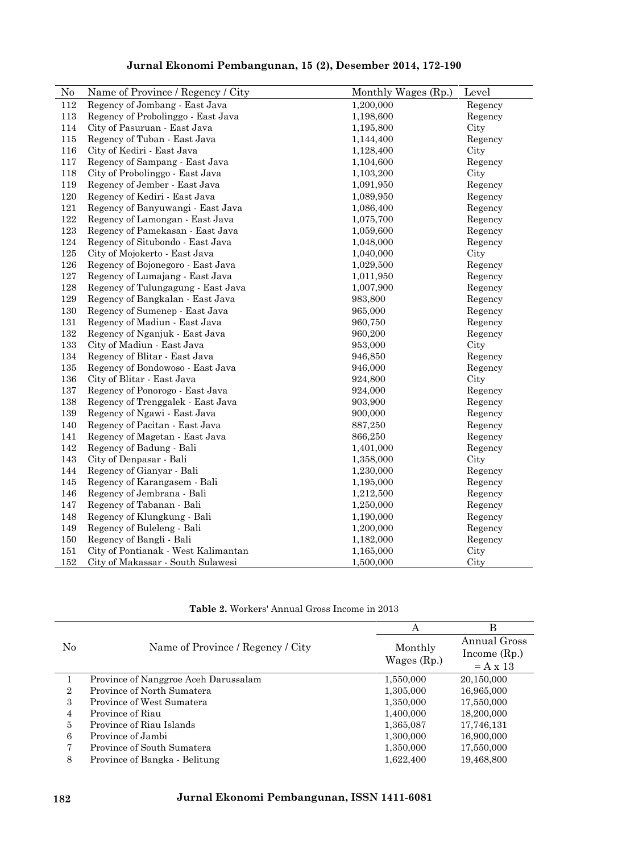| Jurnal Ekonomi Pembangunan, 15 (2), Desember 2014, 172-190 |  |
|------------------------------------------------------------|--|
|------------------------------------------------------------|--|

| No  | Name of Province / Regency / City   | Monthly Wages (Rp.) | Level   |
|-----|-------------------------------------|---------------------|---------|
| 112 | Regency of Jombang - East Java      | 1,200,000           | Regency |
| 113 | Regency of Probolinggo - East Java  | 1,198,600           | Regency |
| 114 | City of Pasuruan - East Java        | 1,195,800           | City    |
| 115 | Regency of Tuban - East Java        | 1,144,400           | Regency |
| 116 | City of Kediri - East Java          | 1,128,400           | City    |
| 117 | Regency of Sampang - East Java      | 1,104,600           | Regency |
| 118 | City of Probolinggo - East Java     | 1,103,200           | City    |
| 119 | Regency of Jember - East Java       | 1,091,950           | Regency |
| 120 | Regency of Kediri - East Java       | 1,089,950           | Regency |
| 121 | Regency of Banyuwangi - East Java   | 1,086,400           | Regency |
| 122 | Regency of Lamongan - East Java     | 1,075,700           | Regency |
| 123 | Regency of Pamekasan - East Java    | 1,059,600           | Regency |
| 124 | Regency of Situbondo - East Java    | 1,048,000           | Regency |
| 125 | City of Mojokerto - East Java       | 1,040,000           | City    |
| 126 | Regency of Bojonegoro - East Java   | 1,029,500           | Regency |
| 127 | Regency of Lumajang - East Java     | 1,011,950           | Regency |
| 128 | Regency of Tulungagung - East Java  | 1,007,900           | Regency |
| 129 | Regency of Bangkalan - East Java    | 983,800             | Regency |
| 130 | Regency of Sumenep - East Java      | 965,000             | Regency |
| 131 | Regency of Madiun - East Java       | 960,750             | Regency |
| 132 | Regency of Nganjuk - East Java      | 960,200             | Regency |
| 133 | City of Madiun - East Java          | 953,000             | City    |
| 134 | Regency of Blitar - East Java       | 946,850             | Regency |
| 135 | Regency of Bondowoso - East Java    | 946,000             | Regency |
| 136 | City of Blitar - East Java          | 924,800             | City    |
| 137 | Regency of Ponorogo - East Java     | 924,000             | Regency |
| 138 | Regency of Trenggalek - East Java   | 903,900             | Regency |
| 139 | Regency of Ngawi - East Java        | 900,000             | Regency |
| 140 | Regency of Pacitan - East Java      | 887,250             | Regency |
| 141 | Regency of Magetan - East Java      | 866,250             | Regency |
| 142 | Regency of Badung - Bali            | 1,401,000           | Regency |
| 143 | City of Denpasar - Bali             | 1,358,000           | City    |
| 144 | Regency of Gianyar - Bali           | 1,230,000           | Regency |
| 145 | Regency of Karangasem - Bali        | 1,195,000           | Regency |
| 146 | Regency of Jembrana - Bali          | 1,212,500           | Regency |
| 147 | Regency of Tabanan - Bali           | 1,250,000           | Regency |
| 148 | Regency of Klungkung - Bali         | 1,190,000           | Regency |
| 149 | Regency of Buleleng - Bali          | 1,200,000           | Regency |
| 150 | Regency of Bangli - Bali            | 1,182,000           | Regency |
| 151 | City of Pontianak - West Kalimantan | 1,165,000           | City    |
| 152 | City of Makassar - South Sulawesi   | 1,500,000           | City    |

**Table 2.** Workers' Annual Gross Income in 2013

|                |                                      | A             | B                             |
|----------------|--------------------------------------|---------------|-------------------------------|
| No             | Name of Province / Regency / City    | Monthly       | Annual Gross<br>Income $(Rp)$ |
|                |                                      | Wages $(Rp.)$ | $= A x 13$                    |
|                | Province of Nanggroe Aceh Darussalam | 1,550,000     | 20,150,000                    |
| $\overline{2}$ | Province of North Sumatera           | 1,305,000     | 16,965,000                    |
| 3              | Province of West Sumatera            | 1,350,000     | 17,550,000                    |
| 4              | Province of Riau                     | 1,400,000     | 18,200,000                    |
| 5              | Province of Riau Islands             | 1,365,087     | 17,746,131                    |
| 6              | Province of Jambi                    | 1,300,000     | 16,900,000                    |
|                | Province of South Sumatera           | 1,350,000     | 17,550,000                    |
| 8              | Province of Bangka - Belitung        | 1,622,400     | 19,468,800                    |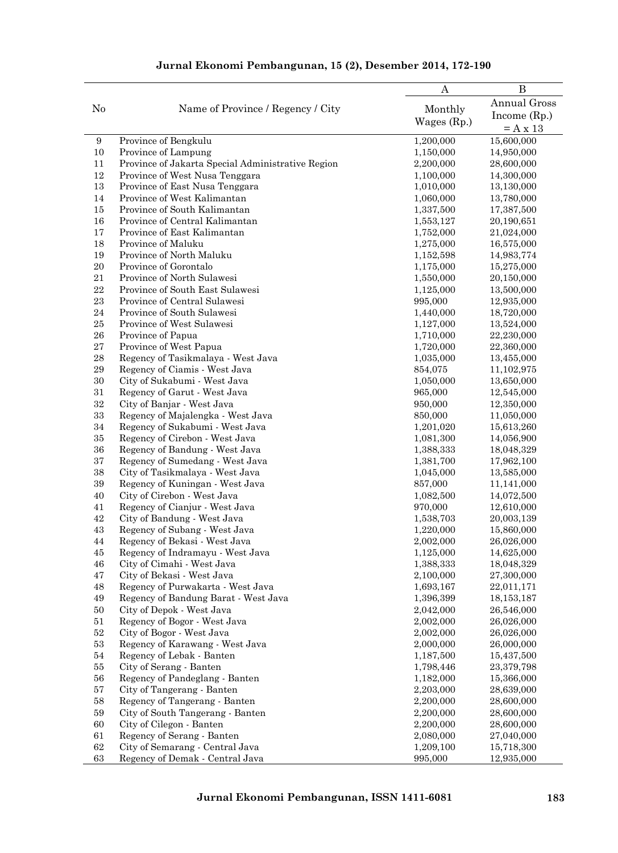|                  |                                                           | $\boldsymbol{A}$       | $\bf{B}$                 |
|------------------|-----------------------------------------------------------|------------------------|--------------------------|
|                  |                                                           |                        | Annual Gross             |
| N <sub>0</sub>   | Name of Province / Regency / City                         | Monthly                | Income $(Rp.)$           |
|                  |                                                           | Wages $(Rp.)$          | $= A x 13$               |
| $\boldsymbol{9}$ | Province of Bengkulu                                      | 1,200,000              | 15,600,000               |
| $10\,$           | Province of Lampung                                       | 1,150,000              | 14,950,000               |
| 11               | Province of Jakarta Special Administrative Region         | 2,200,000              | 28,600,000               |
| 12               | Province of West Nusa Tenggara                            | 1,100,000              | 14,300,000               |
| 13               | Province of East Nusa Tenggara                            | 1,010,000              | 13,130,000               |
| 14               | Province of West Kalimantan                               | 1,060,000              | 13,780,000               |
| $15\,$           | Province of South Kalimantan                              | 1,337,500              | 17,387,500               |
| 16               | Province of Central Kalimantan                            | 1,553,127              | 20,190,651               |
| 17               | Province of East Kalimantan                               | 1,752,000              | 21,024,000               |
| 18               | Province of Maluku                                        | 1,275,000              | 16,575,000               |
| 19               | Province of North Maluku                                  | 1,152,598              | 14,983,774               |
| 20               | Province of Gorontalo                                     | 1,175,000              | 15,275,000               |
| $21\,$           | Province of North Sulawesi                                | 1,550,000              | 20,150,000               |
| $\bf 22$         | Province of South East Sulawesi                           | 1,125,000              | 13,500,000               |
| 23               | Province of Central Sulawesi                              | 995,000                | 12,935,000               |
| 24               | Province of South Sulawesi                                | 1,440,000              | 18,720,000               |
| $25\,$           | Province of West Sulawesi                                 | 1,127,000              | 13,524,000               |
| ${\bf 26}$       | Province of Papua                                         | 1,710,000              | 22,230,000               |
| $\sqrt{27}$      | Province of West Papua                                    | 1,720,000              | 22,360,000               |
| $\bf 28$         | Regency of Tasikmalaya - West Java                        | 1,035,000              | 13,455,000               |
| $\rm 29$         | Regency of Ciamis - West Java                             | 854,075                | 11,102,975               |
| $30\,$           | City of Sukabumi - West Java                              | 1,050,000              | 13,650,000               |
| 31               | Regency of Garut - West Java                              | 965,000                | 12,545,000               |
| 32               | City of Banjar - West Java                                | 950,000                | 12,350,000               |
| 33               | Regency of Majalengka - West Java                         | 850,000                | 11,050,000               |
| 34               | Regency of Sukabumi - West Java                           | 1,201,020              | 15,613,260               |
| 35               | Regency of Cirebon - West Java                            | 1,081,300              | 14,056,900               |
| 36               | Regency of Bandung - West Java                            | 1,388,333              | 18,048,329               |
| 37               | Regency of Sumedang - West Java                           | 1,381,700              | 17,962,100               |
| 38               | City of Tasikmalaya - West Java                           | 1,045,000              | 13,585,000               |
| $39\,$           | Regency of Kuningan - West Java                           | 857,000                | 11,141,000               |
| 40               | City of Cirebon - West Java                               | 1,082,500              | 14,072,500               |
| 41               | Regency of Cianjur - West Java                            | 970,000                | 12,610,000               |
| 42               | City of Bandung - West Java                               | 1,538,703              | 20,003,139               |
| 43               | Regency of Subang - West Java                             | 1,220,000              | 15,860,000               |
| 44               | Regency of Bekasi - West Java                             | 2,002,000              | 26,026,000               |
| 45               | Regency of Indramayu - West Java                          | 1,125,000              | 14,625,000               |
| 46               | City of Cimahi - West Java                                | 1,388,333              | 18,048,329               |
| $47\,$           | City of Bekasi - West Java                                | 2,100,000              | 27,300,000               |
| 48               | Regency of Purwakarta - West Java                         | 1,693,167              | 22,011,171               |
| $\rm 49$         | Regency of Bandung Barat - West Java                      | 1,396,399              | 18,153,187               |
| $50\,$           | City of Depok - West Java                                 | 2,042,000              | 26,546,000               |
| $51\,$           | Regency of Bogor - West Java                              | 2,002,000              | 26,026,000               |
| $52\,$           | City of Bogor - West Java                                 | 2,002,000              | 26,026,000               |
| $53\,$           | Regency of Karawang - West Java                           | 2,000,000              | 26,000,000<br>15,437,500 |
| $54\,$           | Regency of Lebak - Banten                                 | 1,187,500<br>1,798,446 |                          |
| 55<br>56         | City of Serang - Banten<br>Regency of Pandeglang - Banten |                        | 23,379,798               |
| 57               | City of Tangerang - Banten                                | 1,182,000<br>2,203,000 | 15,366,000<br>28,639,000 |
| 58               | Regency of Tangerang - Banten                             | 2,200,000              | 28,600,000               |
| $59\,$           | City of South Tangerang - Banten                          | 2,200,000              | 28,600,000               |
| $60\,$           | City of Cilegon - Banten                                  | 2,200,000              | 28,600,000               |
| 61               | Regency of Serang - Banten                                | 2,080,000              | 27,040,000               |
| $62\,$           | City of Semarang - Central Java                           | 1,209,100              | 15,718,300               |
| 63               | Regency of Demak - Central Java                           | 995,000                | 12,935,000               |
|                  |                                                           |                        |                          |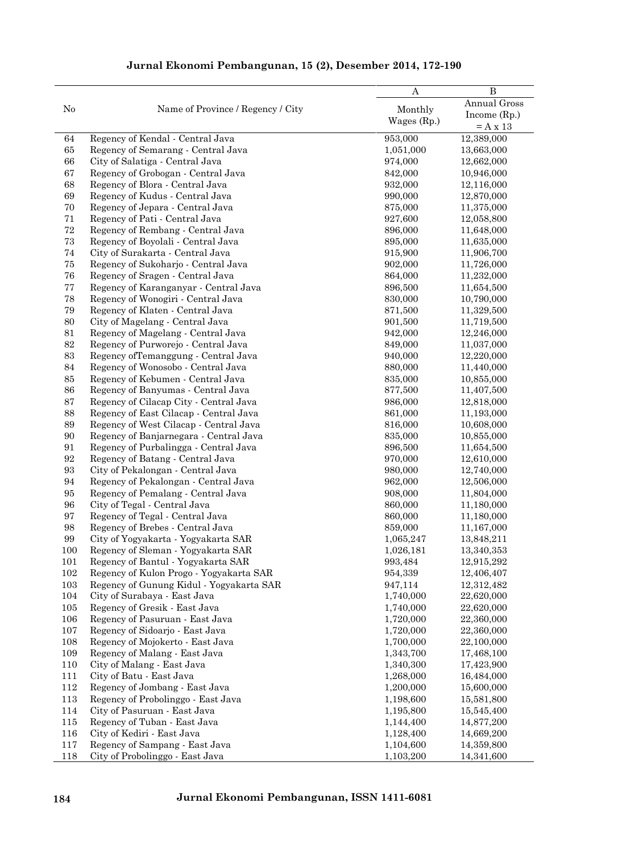|                   |                                          | A             | $\bf{B}$                     |
|-------------------|------------------------------------------|---------------|------------------------------|
| No                | Name of Province / Regency / City        | Monthly       | Annual Gross                 |
|                   |                                          | Wages $(Rp.)$ | Income $(Rp.)$<br>$= A x 13$ |
| 64                | Regency of Kendal - Central Java         | 953,000       | 12,389,000                   |
| 65                | Regency of Semarang - Central Java       | 1,051,000     | 13,663,000                   |
| 66                | City of Salatiga - Central Java          | 974,000       | 12,662,000                   |
| 67                | Regency of Grobogan - Central Java       | 842,000       | 10,946,000                   |
| 68                | Regency of Blora - Central Java          | 932,000       | 12,116,000                   |
| 69                | Regency of Kudus - Central Java          | 990,000       | 12,870,000                   |
| 70                | Regency of Jepara - Central Java         | 875,000       | 11,375,000                   |
| 71                | Regency of Pati - Central Java           | 927,600       | 12,058,800                   |
| 72                | Regency of Rembang - Central Java        | 896,000       | 11,648,000                   |
| $73\,$            | Regency of Boyolali - Central Java       | 895,000       | 11,635,000                   |
| 74                | City of Surakarta - Central Java         | 915,900       | 11,906,700                   |
| $75\,$            | Regency of Sukoharjo - Central Java      | 902,000       | 11,726,000                   |
| 76                | Regency of Sragen - Central Java         | 864,000       | 11,232,000                   |
| $77\,$            | Regency of Karanganyar - Central Java    | 896,500       | 11,654,500                   |
| 78                | Regency of Wonogiri - Central Java       | 830,000       | 10,790,000                   |
| 79                | Regency of Klaten - Central Java         | 871,500       | 11,329,500                   |
| 80                | City of Magelang - Central Java          | 901,500       | 11,719,500                   |
| 81                | Regency of Magelang - Central Java       | 942,000       | 12,246,000                   |
| $82\,$            | Regency of Purworejo - Central Java      | 849,000       | 11,037,000                   |
| 83                | Regency of Temanggung - Central Java     | 940,000       | 12,220,000                   |
| 84                | Regency of Wonosobo - Central Java       | 880,000       | 11,440,000                   |
| 85                | Regency of Kebumen - Central Java        | 835,000       | 10,855,000                   |
| 86                | Regency of Banyumas - Central Java       | 877,500       | 11,407,500                   |
| 87                | Regency of Cilacap City - Central Java   | 986,000       | 12,818,000                   |
| 88                | Regency of East Cilacap - Central Java   | 861,000       | 11,193,000                   |
| 89                | Regency of West Cilacap - Central Java   | 816,000       | 10,608,000                   |
| 90                | Regency of Banjarnegara - Central Java   | 835,000       | 10,855,000                   |
| 91                | Regency of Purbalingga - Central Java    | 896,500       | 11,654,500                   |
| 92                | Regency of Batang - Central Java         | 970,000       | 12,610,000                   |
| $\boldsymbol{93}$ | City of Pekalongan - Central Java        | 980,000       | 12,740,000                   |
| 94                | Regency of Pekalongan - Central Java     | 962,000       |                              |
| 95                | Regency of Pemalang - Central Java       |               | 12,506,000                   |
|                   | City of Tegal - Central Java             | 908,000       | 11,804,000                   |
| 96                |                                          | 860,000       | 11,180,000                   |
| $\rm 97$          | Regency of Tegal - Central Java          | 860,000       | 11,180,000<br>11,167,000     |
| 98<br>99          | Regency of Brebes - Central Java         | 859,000       |                              |
|                   | City of Yogyakarta - Yogyakarta SAR      | 1,065,247     | 13,848,211                   |
| 100               | Regency of Sleman - Yogyakarta SAR       | 1,026,181     | 13,340,353                   |
| 101               | Regency of Bantul - Yogyakarta SAR       | 993,484       | 12,915,292                   |
| 102               | Regency of Kulon Progo - Yogyakarta SAR  | 954,339       | 12,406,407                   |
| 103               | Regency of Gunung Kidul - Yogyakarta SAR | 947,114       | 12,312,482                   |
| 104               | City of Surabaya - East Java             | 1,740,000     | 22,620,000                   |
| 105               | Regency of Gresik - East Java            | 1,740,000     | 22,620,000                   |
| 106               | Regency of Pasuruan - East Java          | 1,720,000     | 22,360,000                   |
| 107               | Regency of Sidoarjo - East Java          | 1,720,000     | 22,360,000                   |
| 108               | Regency of Mojokerto - East Java         | 1,700,000     | 22,100,000                   |
| 109               | Regency of Malang - East Java            | 1,343,700     | 17,468,100                   |
| 110               | City of Malang - East Java               | 1,340,300     | 17,423,900                   |
| 111               | City of Batu - East Java                 | 1,268,000     | 16,484,000                   |
| 112               | Regency of Jombang - East Java           | 1,200,000     | 15,600,000                   |
| 113               | Regency of Probolinggo - East Java       | 1,198,600     | 15,581,800                   |
| 114               | City of Pasuruan - East Java             | 1,195,800     | 15,545,400                   |
| 115               | Regency of Tuban - East Java             | 1,144,400     | 14,877,200                   |
| 116               | City of Kediri - East Java               | 1,128,400     | 14,669,200                   |
| 117               | Regency of Sampang - East Java           | 1,104,600     | 14,359,800                   |
| 118               | City of Probolinggo - East Java          | 1,103,200     | 14,341,600                   |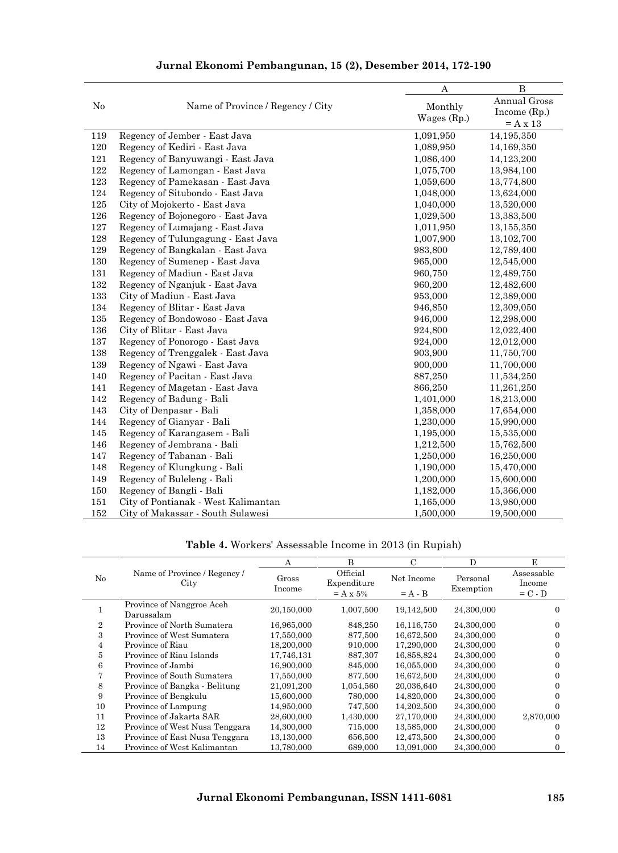|     |                                     | А             | $\overline{B}$ |
|-----|-------------------------------------|---------------|----------------|
| No  | Name of Province / Regency / City   | Monthly       | Annual Gross   |
|     |                                     | Wages $(Rp.)$ | Income $(Rp.)$ |
|     |                                     |               | $= A x 13$     |
| 119 | Regency of Jember - East Java       | 1,091,950     | 14,195,350     |
| 120 | Regency of Kediri - East Java       | 1,089,950     | 14,169,350     |
| 121 | Regency of Banyuwangi - East Java   | 1,086,400     | 14,123,200     |
| 122 | Regency of Lamongan - East Java     | 1,075,700     | 13,984,100     |
| 123 | Regency of Pamekasan - East Java    | 1,059,600     | 13,774,800     |
| 124 | Regency of Situbondo - East Java    | 1,048,000     | 13,624,000     |
| 125 | City of Mojokerto - East Java       | 1,040,000     | 13,520,000     |
| 126 | Regency of Bojonegoro - East Java   | 1,029,500     | 13,383,500     |
| 127 | Regency of Lumajang - East Java     | 1,011,950     | 13,155,350     |
| 128 | Regency of Tulungagung - East Java  | 1,007,900     | 13,102,700     |
| 129 | Regency of Bangkalan - East Java    | 983,800       | 12,789,400     |
| 130 | Regency of Sumenep - East Java      | 965,000       | 12,545,000     |
| 131 | Regency of Madiun - East Java       | 960,750       | 12,489,750     |
| 132 | Regency of Nganjuk - East Java      | 960,200       | 12,482,600     |
| 133 | City of Madiun - East Java          | 953,000       | 12,389,000     |
| 134 | Regency of Blitar - East Java       | 946,850       | 12,309,050     |
| 135 | Regency of Bondowoso - East Java    | 946,000       | 12,298,000     |
| 136 | City of Blitar - East Java          | 924,800       | 12,022,400     |
| 137 | Regency of Ponorogo - East Java     | 924,000       | 12,012,000     |
| 138 | Regency of Trenggalek - East Java   | 903,900       | 11,750,700     |
| 139 | Regency of Ngawi - East Java        | 900,000       | 11,700,000     |
| 140 | Regency of Pacitan - East Java      | 887,250       | 11,534,250     |
| 141 | Regency of Magetan - East Java      | 866,250       | 11,261,250     |
| 142 | Regency of Badung - Bali            | 1,401,000     | 18,213,000     |
| 143 | City of Denpasar - Bali             | 1,358,000     | 17,654,000     |
| 144 | Regency of Gianyar - Bali           | 1,230,000     | 15,990,000     |
| 145 | Regency of Karangasem - Bali        | 1,195,000     | 15,535,000     |
| 146 | Regency of Jembrana - Bali          | 1,212,500     | 15,762,500     |
| 147 | Regency of Tabanan - Bali           | 1,250,000     | 16,250,000     |
| 148 | Regency of Klungkung - Bali         | 1,190,000     | 15,470,000     |
| 149 | Regency of Buleleng - Bali          | 1,200,000     | 15,600,000     |
| 150 | Regency of Bangli - Bali            | 1,182,000     | 15,366,000     |
| 151 | City of Pontianak - West Kalimantan | 1,165,000     | 13,980,000     |
| 152 | City of Makassar - South Sulawesi   | 1,500,000     | 19,500,000     |

**Table 4.** Workers' Assessable Income in 2013 (in Rupiah)

|                             |                                      | Α               | B                                     | $\mathcal{C}$           | D                     | E                                 |
|-----------------------------|--------------------------------------|-----------------|---------------------------------------|-------------------------|-----------------------|-----------------------------------|
| No                          | Name of Province / Regency /<br>City | Gross<br>Income | Official<br>Expenditure<br>$= A x 5%$ | Net Income<br>$= A - B$ | Personal<br>Exemption | Assessable<br>Income<br>$= C - D$ |
|                             | Province of Nanggroe Aceh            |                 |                                       |                         |                       |                                   |
|                             | Darussalam                           | 20,150,000      | 1,007,500                             | 19,142,500              | 24,300,000            | $\Omega$                          |
| $\mathcal{D}_{\mathcal{L}}$ | Province of North Sumatera           | 16,965,000      | 848.250                               | 16,116,750              | 24,300,000            | $\Omega$                          |
| 3                           | Province of West Sumatera            | 17,550,000      | 877,500                               | 16,672,500              | 24,300,000            |                                   |
| 4                           | Province of Riau                     | 18,200,000      | 910,000                               | 17,290,000              | 24,300,000            | 0                                 |
| 5                           | Province of Riau Islands             | 17,746,131      | 887,307                               | 16,858,824              | 24,300,000            |                                   |
| 6                           | Province of Jambi                    | 16,900,000      | 845,000                               | 16,055,000              | 24,300,000            |                                   |
|                             | Province of South Sumatera           | 17,550,000      | 877.500                               | 16,672,500              | 24,300,000            | $\Omega$                          |
| 8                           | Province of Bangka - Belitung        | 21,091,200      | 1,054,560                             | 20,036,640              | 24,300,000            | $\Omega$                          |
| 9                           | Province of Bengkulu                 | 15,600,000      | 780,000                               | 14,820,000              | 24,300,000            |                                   |
| 10                          | Province of Lampung                  | 14,950,000      | 747,500                               | 14,202,500              | 24,300,000            | $_{0}$                            |
| 11                          | Province of Jakarta SAR              | 28,600,000      | 1,430,000                             | 27,170,000              | 24,300,000            | 2,870,000                         |
| 12                          | Province of West Nusa Tenggara       | 14,300,000      | 715,000                               | 13,585,000              | 24,300,000            |                                   |
| 13                          | Province of East Nusa Tenggara       | 13,130,000      | 656,500                               | 12,473,500              | 24,300,000            |                                   |
| 14                          | Province of West Kalimantan          | 13.780,000      | 689,000                               | 13.091.000              | 24.300,000            |                                   |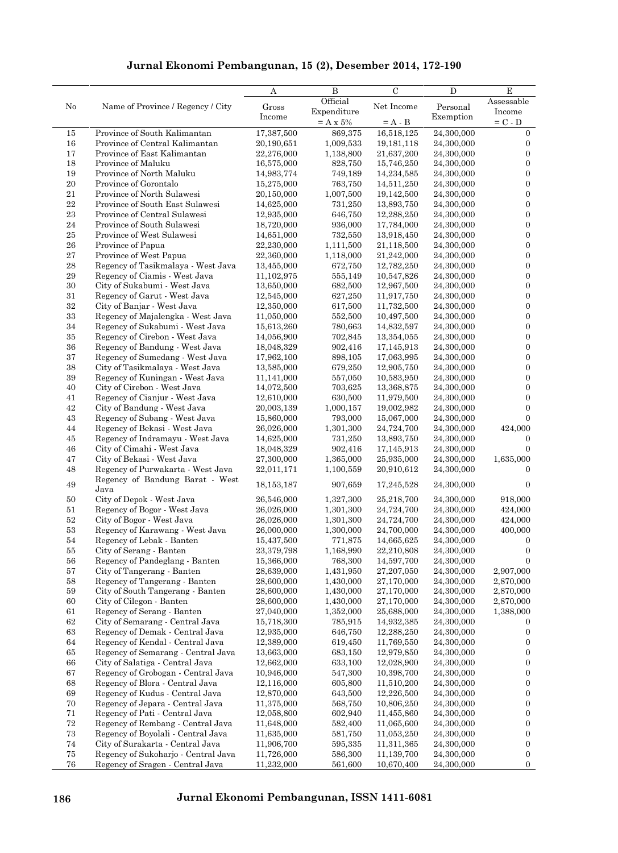|          |                                                               | A                        | $\, {\bf B}$         | $\mathbf C$              | ${\bf D}$                | Е                                    |
|----------|---------------------------------------------------------------|--------------------------|----------------------|--------------------------|--------------------------|--------------------------------------|
| No       | Name of Province / Regency / City                             | Gross                    | Official             | Net Income               | Personal                 | Assessable                           |
|          |                                                               | Income                   | Expenditure          |                          | Exemption                | Income                               |
|          |                                                               |                          | $=$ A x 5%           | $= A - B$                |                          | $= C - D$                            |
| 15       | Province of South Kalimantan                                  | 17,387,500               | 869,375              | 16,518,125               | 24,300,000               | $\mathbf{0}$                         |
| 16       | Province of Central Kalimantan                                | 20,190,651               | 1,009,533            | 19, 181, 118             | 24,300,000               | $\boldsymbol{0}$                     |
| 17       | Province of East Kalimantan                                   | 22,276,000               | 1,138,800            | 21,637,200               | 24,300,000               | $\boldsymbol{0}$                     |
| 18       | Province of Maluku                                            | 16,575,000               | 828,750              | 15,746,250               | 24,300,000               | $\boldsymbol{0}$                     |
| 19       | Province of North Maluku                                      | 14,983,774               | 749,189<br>763,750   | 14,234,585               | 24,300,000               | $\boldsymbol{0}$                     |
| $20\,$   | Province of Gorontalo<br>Province of North Sulawesi           | 15,275,000<br>20,150,000 |                      | 14,511,250               | 24,300,000               | $\boldsymbol{0}$                     |
| 21<br>22 | Province of South East Sulawesi                               | 14,625,000               | 1,007,500<br>731,250 | 19,142,500<br>13,893,750 | 24,300,000<br>24,300,000 | $\boldsymbol{0}$<br>$\boldsymbol{0}$ |
| $\bf 23$ | Province of Central Sulawesi                                  | 12,935,000               | 646,750              | 12,288,250               | 24,300,000               | $\boldsymbol{0}$                     |
| 24       | Province of South Sulawesi                                    | 18,720,000               | 936,000              | 17,784,000               | 24,300,000               | $\boldsymbol{0}$                     |
| $25\,$   | Province of West Sulawesi                                     | 14,651,000               | 732,550              | 13,918,450               | 24,300,000               | $\boldsymbol{0}$                     |
| 26       | Province of Papua                                             | 22,230,000               | 1,111,500            | 21,118,500               | 24,300,000               | $\boldsymbol{0}$                     |
| 27       | Province of West Papua                                        | 22,360,000               | 1,118,000            | 21,242,000               | 24,300,000               | $\boldsymbol{0}$                     |
| $\bf 28$ | Regency of Tasikmalaya - West Java                            | 13,455,000               | 672,750              | 12,782,250               | 24,300,000               | $\boldsymbol{0}$                     |
| 29       | Regency of Ciamis - West Java                                 | 11,102,975               | 555,149              | 10,547,826               | 24,300,000               | $\boldsymbol{0}$                     |
| 30       | City of Sukabumi - West Java                                  | 13,650,000               | 682,500              | 12,967,500               | 24,300,000               | $\boldsymbol{0}$                     |
| 31       | Regency of Garut - West Java                                  | 12,545,000               | 627,250              | 11,917,750               | 24,300,000               | $\boldsymbol{0}$                     |
| $32\,$   | City of Banjar - West Java                                    | 12,350,000               | 617,500              | 11,732,500               | 24,300,000               | $\boldsymbol{0}$                     |
| $33\,$   | Regency of Majalengka - West Java                             | 11,050,000               | 552,500              | 10,497,500               | 24,300,000               | $\boldsymbol{0}$                     |
| 34       | Regency of Sukabumi - West Java                               | 15,613,260               | 780,663              | 14,832,597               | 24,300,000               | $\boldsymbol{0}$                     |
| 35       | Regency of Cirebon - West Java                                | 14,056,900               | 702,845              | 13,354,055               | 24,300,000               | $\boldsymbol{0}$                     |
| 36       | Regency of Bandung - West Java                                | 18,048,329               | 902,416              | 17,145,913               | 24,300,000               | $\boldsymbol{0}$                     |
| 37       | Regency of Sumedang - West Java                               | 17,962,100               | 898,105              | 17,063,995               | 24,300,000               | $\boldsymbol{0}$                     |
| $38\,$   | City of Tasikmalaya - West Java                               | 13,585,000               | 679,250              | 12,905,750               | 24,300,000               | $\boldsymbol{0}$                     |
| 39       | Regency of Kuningan - West Java                               | 11,141,000               | 557,050              | 10,583,950               | 24,300,000               | $\boldsymbol{0}$                     |
| 40       | City of Cirebon - West Java                                   | 14,072,500               | 703,625              | 13,368,875               | 24,300,000               | $\boldsymbol{0}$                     |
| 41       | Regency of Cianjur - West Java                                | 12,610,000               | 630,500              | 11,979,500               | 24,300,000               | $\boldsymbol{0}$                     |
| 42       | City of Bandung - West Java                                   | 20,003,139               | 1,000,157            | 19,002,982               | 24,300,000               | $\boldsymbol{0}$                     |
| 43       | Regency of Subang - West Java                                 | 15,860,000               | 793,000              | 15,067,000               | 24,300,000               | $\overline{0}$                       |
| 44       | Regency of Bekasi - West Java                                 | 26,026,000               | 1,301,300            | 24,724,700               | 24,300,000               | 424,000                              |
| 45       | Regency of Indramayu - West Java                              | 14,625,000               | 731,250              | 13,893,750               | 24,300,000               | $\boldsymbol{0}$                     |
| 46       | City of Cimahi - West Java                                    | 18,048,329               | 902,416              | 17,145,913               | 24,300,000               | $\overline{0}$                       |
| 47       | City of Bekasi - West Java                                    | 27,300,000               | 1,365,000            | 25,935,000               | 24,300,000               | 1,635,000                            |
| 48       | Regency of Purwakarta - West Java                             | 22,011,171               | 1,100,559            | 20,910,612               | 24,300,000               | 0                                    |
| 49       | Regency of Bandung Barat - West<br>Java                       | 18,153,187               | 907,659              | 17,245,528               | 24,300,000               | $\boldsymbol{0}$                     |
| 50       | City of Depok - West Java                                     | 26,546,000               | 1,327,300            | 25,218,700               | 24,300,000               | 918,000                              |
| 51       | Regency of Bogor - West Java                                  | 26,026,000               | 1,301,300            | 24,724,700               | 24,300,000               | 424,000                              |
| 52       | City of Bogor - West Java                                     | 26,026,000               | 1,301,300            | 24,724,700               | 24,300,000               | 424,000                              |
| 53       | Regency of Karawang - West Java                               | 26,000,000               | 1,300,000            | 24,700,000               | 24,300,000               | 400,000                              |
| 54       | Regency of Lebak - Banten                                     | 15,437,500               | 771,875              | 14,665,625               | 24,300,000               | $\boldsymbol{0}$                     |
| 55       | City of Serang - Banten                                       | 23,379,798               | 1,168,990            | 22,210,808               | 24,300,000               | $\boldsymbol{0}$                     |
| 56       | Regency of Pandeglang - Banten                                | 15,366,000               | 768,300              | 14,597,700               | 24,300,000               | $\boldsymbol{0}$                     |
| 57       | City of Tangerang - Banten                                    | 28,639,000               | 1,431,950            | 27,207,050               | 24,300,000               | 2,907,000                            |
| 58       | Regency of Tangerang - Banten                                 | 28,600,000               | 1,430,000            | 27,170,000               | 24,300,000               | 2,870,000                            |
| 59       | City of South Tangerang - Banten                              | 28,600,000               | 1,430,000            | 27,170,000               | 24,300,000               | 2,870,000                            |
| 60       | City of Cilegon - Banten                                      | 28,600,000               | 1,430,000            | 27,170,000               | 24,300,000               | 2,870,000                            |
| 61<br>62 | Regency of Serang - Banten<br>City of Semarang - Central Java | 27,040,000<br>15,718,300 | 1,352,000<br>785,915 | 25,688,000<br>14,932,385 | 24,300,000<br>24,300,000 | 1,388,000                            |
| 63       | Regency of Demak - Central Java                               | 12,935,000               | 646,750              | 12,288,250               | 24,300,000               | 0<br>$\boldsymbol{0}$                |
| 64       | Regency of Kendal - Central Java                              | 12,389,000               | 619,450              | 11,769,550               | 24,300,000               | $\boldsymbol{0}$                     |
| 65       | Regency of Semarang - Central Java                            | 13,663,000               | 683,150              | 12,979,850               | 24,300,000               | $\boldsymbol{0}$                     |
| 66       | City of Salatiga - Central Java                               | 12,662,000               | 633,100              | 12,028,900               | 24,300,000               | $\boldsymbol{0}$                     |
| 67       | Regency of Grobogan - Central Java                            | 10,946,000               | 547,300              | 10,398,700               | 24,300,000               | $\boldsymbol{0}$                     |
| 68       | Regency of Blora - Central Java                               | 12,116,000               | 605,800              | 11,510,200               | 24,300,000               | $\boldsymbol{0}$                     |
| 69       | Regency of Kudus - Central Java                               | 12,870,000               | 643,500              | 12,226,500               | 24,300,000               | $\boldsymbol{0}$                     |
| 70       | Regency of Jepara - Central Java                              | 11,375,000               | 568,750              | 10,806,250               | 24,300,000               | $\boldsymbol{0}$                     |
| 71       | Regency of Pati - Central Java                                | 12,058,800               | 602,940              | 11,455,860               | 24,300,000               | $\boldsymbol{0}$                     |
| $\bf 72$ | Regency of Rembang - Central Java                             | 11,648,000               | 582,400              | 11,065,600               | 24,300,000               | $\boldsymbol{0}$                     |
| 73       | Regency of Boyolali - Central Java                            | 11,635,000               | 581,750              | 11,053,250               | 24,300,000               | $\boldsymbol{0}$                     |
| 74       | City of Surakarta - Central Java                              | 11,906,700               | 595,335              | 11,311,365               | 24,300,000               | $\boldsymbol{0}$                     |
| 75       | Regency of Sukoharjo - Central Java                           | 11,726,000               | 586,300              | 11,139,700               | 24,300,000               | $\boldsymbol{0}$                     |
| 76       | Regency of Sragen - Central Java                              | 11,232,000               | 561,600              | 10,670,400               | 24,300,000               | $\boldsymbol{0}$                     |
|          |                                                               |                          |                      |                          |                          |                                      |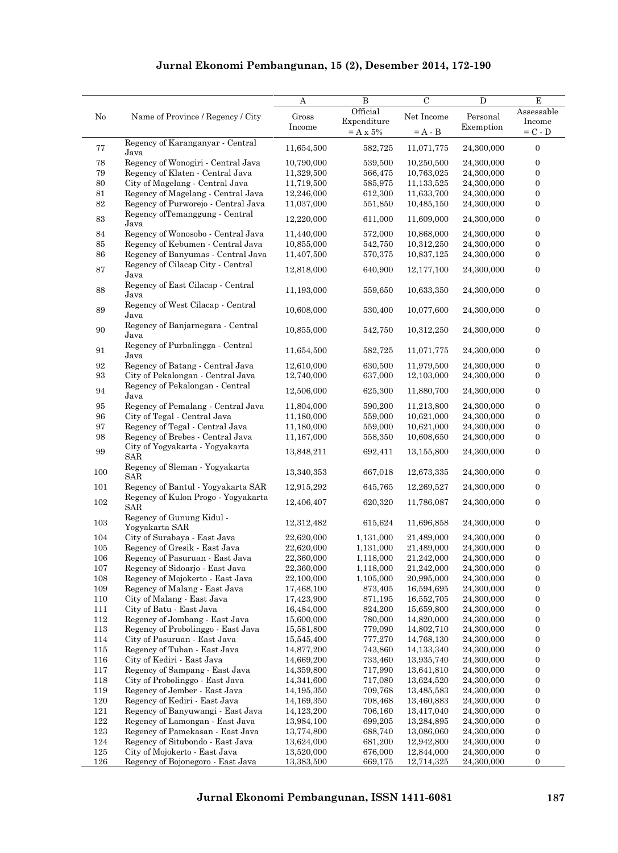|                   |                                                   | A          | B           | $\mathcal{C}$ | $\mathbf D$ | E                |
|-------------------|---------------------------------------------------|------------|-------------|---------------|-------------|------------------|
| No                | Name of Province / Regency / City                 | Gross      | Official    | Net Income    | Personal    | Assessable       |
|                   |                                                   | Income     | Expenditure |               | Exemption   | Income           |
|                   |                                                   |            | $=$ A x 5%  | $= A - B$     |             | $= C - D$        |
| 77                | Regency of Karanganyar - Central                  | 11,654,500 | 582,725     | 11,071,775    | 24,300,000  | $\boldsymbol{0}$ |
|                   | Java                                              |            |             |               |             |                  |
| 78                | Regency of Wonogiri - Central Java                | 10,790,000 | 539,500     | 10,250,500    | 24,300,000  | 0                |
| $\rm 79$          | Regency of Klaten - Central Java                  | 11,329,500 | 566,475     | 10,763,025    | 24,300,000  | $\boldsymbol{0}$ |
| $80\,$            | City of Magelang - Central Java                   | 11,719,500 | 585,975     | 11,133,525    | 24,300,000  | $\boldsymbol{0}$ |
| $81\,$            | Regency of Magelang - Central Java                | 12,246,000 | 612,300     | 11,633,700    | 24,300,000  | $\boldsymbol{0}$ |
| 82                | Regency of Purworejo - Central Java               | 11,037,000 | 551,850     | 10,485,150    | 24,300,000  | $\boldsymbol{0}$ |
| $\bf 83$          | Regency of Temanggung - Central<br>Java           | 12,220,000 | 611,000     | 11,609,000    | 24,300,000  | $\boldsymbol{0}$ |
| 84                | Regency of Wonosobo - Central Java                | 11,440,000 | 572,000     | 10,868,000    | 24,300,000  | $\boldsymbol{0}$ |
| 85                | Regency of Kebumen - Central Java                 | 10,855,000 | 542,750     | 10,312,250    | 24,300,000  | $\boldsymbol{0}$ |
| 86                | Regency of Banyumas - Central Java                | 11,407,500 | 570,375     | 10,837,125    | 24,300,000  | $\boldsymbol{0}$ |
| 87                | Regency of Cilacap City - Central<br>Java         | 12,818,000 | 640,900     | 12,177,100    | 24,300,000  | $\boldsymbol{0}$ |
| 88                | Regency of East Cilacap - Central                 | 11,193,000 | 559,650     | 10,633,350    | 24,300,000  | $\boldsymbol{0}$ |
|                   | Java<br>Regency of West Cilacap - Central         |            |             |               |             |                  |
| 89                | Java                                              | 10,608,000 | 530,400     | 10,077,600    | 24,300,000  | $\boldsymbol{0}$ |
| $90\,$            | Regency of Banjarnegara - Central                 | 10,855,000 | 542,750     | 10,312,250    | 24,300,000  | $\boldsymbol{0}$ |
|                   | Java<br>Regency of Purbalingga - Central          |            |             |               |             |                  |
| 91                | Java                                              | 11,654,500 | 582,725     | 11,071,775    | 24,300,000  | $\boldsymbol{0}$ |
| 92                | Regency of Batang - Central Java                  | 12,610,000 | 630,500     | 11,979,500    | 24,300,000  | $\boldsymbol{0}$ |
| $\boldsymbol{93}$ | City of Pekalongan - Central Java                 | 12,740,000 | 637,000     | 12,103,000    | 24,300,000  | $\boldsymbol{0}$ |
| 94                | Regency of Pekalongan - Central                   | 12,506,000 | 625,300     | 11,880,700    | 24,300,000  | $\boldsymbol{0}$ |
|                   | Java                                              |            |             |               |             |                  |
| 95                | Regency of Pemalang - Central Java                | 11,804,000 | 590,200     | 11,213,800    | 24,300,000  | $\boldsymbol{0}$ |
| 96                | City of Tegal - Central Java                      | 11,180,000 | 559,000     | 10,621,000    | 24,300,000  | $\boldsymbol{0}$ |
| 97                | Regency of Tegal - Central Java                   | 11,180,000 | 559,000     | 10,621,000    | 24,300,000  | $\boldsymbol{0}$ |
| 98                | Regency of Brebes - Central Java                  | 11,167,000 | 558,350     | 10,608,650    | 24,300,000  | $\boldsymbol{0}$ |
| 99                | City of Yogyakarta - Yogyakarta<br><b>SAR</b>     | 13,848,211 | 692,411     | 13,155,800    | 24,300,000  | $\boldsymbol{0}$ |
| 100               | Regency of Sleman - Yogyakarta<br><b>SAR</b>      | 13,340,353 | 667,018     | 12,673,335    | 24,300,000  | $\boldsymbol{0}$ |
| 101               | Regency of Bantul - Yogyakarta SAR                | 12,915,292 | 645,765     | 12,269,527    | 24,300,000  | $\boldsymbol{0}$ |
| 102               | Regency of Kulon Progo - Yogyakarta<br><b>SAR</b> | 12,406,407 | 620,320     | 11,786,087    | 24,300,000  | $\boldsymbol{0}$ |
| 103               | Regency of Gunung Kidul -                         | 12,312,482 | 615,624     | 11,696,858    | 24,300,000  | $\boldsymbol{0}$ |
|                   | Yogyakarta SAR                                    |            |             |               |             |                  |
| 104               | City of Surabaya - East Java                      | 22,620,000 | 1,131,000   | 21,489,000    | 24,300,000  | $\boldsymbol{0}$ |
| 105               | Regency of Gresik - East Java                     | 22,620,000 | 1,131,000   | 21,489,000    | 24,300,000  | $\boldsymbol{0}$ |
| 106               | Regency of Pasuruan - East Java                   | 22,360,000 | 1,118,000   | 21,242,000    | 24,300,000  | 0                |
| 107               | Regency of Sidoarjo - East Java                   | 22,360,000 | 1,118,000   | 21,242,000    | 24,300,000  | $\boldsymbol{0}$ |
| 108               | Regency of Mojokerto - East Java                  | 22,100,000 | 1,105,000   | 20,995,000    | 24,300,000  | $\boldsymbol{0}$ |
| 109               | Regency of Malang - East Java                     | 17,468,100 | 873,405     | 16,594,695    | 24,300,000  | $\boldsymbol{0}$ |
| 110               | City of Malang - East Java                        | 17,423,900 | 871,195     | 16,552,705    | 24,300,000  | $\boldsymbol{0}$ |
| 111               | City of Batu - East Java                          | 16,484,000 | 824,200     | 15,659,800    | 24,300,000  | $\boldsymbol{0}$ |
| 112               | Regency of Jombang - East Java                    | 15,600,000 | 780,000     | 14,820,000    | 24,300,000  | $\boldsymbol{0}$ |
| 113               | Regency of Probolinggo - East Java                | 15,581,800 | 779,090     | 14,802,710    | 24,300,000  | $\boldsymbol{0}$ |
| 114               | City of Pasuruan - East Java                      | 15,545,400 | 777,270     | 14,768,130    | 24,300,000  | $\boldsymbol{0}$ |
| 115               | Regency of Tuban - East Java                      | 14,877,200 | 743,860     | 14,133,340    | 24,300,000  | $\boldsymbol{0}$ |
| 116               | City of Kediri - East Java                        | 14,669,200 | 733,460     | 13,935,740    | 24,300,000  | $\boldsymbol{0}$ |
| 117               | Regency of Sampang - East Java                    | 14,359,800 | 717,990     | 13,641,810    | 24,300,000  | $\boldsymbol{0}$ |
| 118               | City of Probolinggo - East Java                   | 14,341,600 | 717,080     | 13,624,520    | 24,300,000  | $\boldsymbol{0}$ |
| 119               | Regency of Jember - East Java                     | 14,195,350 | 709,768     | 13,485,583    | 24,300,000  | $\boldsymbol{0}$ |
| 120               | Regency of Kediri - East Java                     | 14,169,350 | 708,468     | 13,460,883    | 24,300,000  | $\boldsymbol{0}$ |
| 121               | Regency of Banyuwangi - East Java                 | 14,123,200 | 706,160     | 13,417,040    | 24,300,000  | $\boldsymbol{0}$ |
| 122               | Regency of Lamongan - East Java                   | 13,984,100 | 699,205     | 13,284,895    | 24,300,000  | $\boldsymbol{0}$ |
| 123               | Regency of Pamekasan - East Java                  | 13,774,800 | 688,740     | 13,086,060    | 24,300,000  | $\boldsymbol{0}$ |
| 124               | Regency of Situbondo - East Java                  | 13,624,000 | 681,200     | 12,942,800    | 24,300,000  | $\boldsymbol{0}$ |
| 125               | City of Mojokerto - East Java                     | 13,520,000 | 676,000     | 12,844,000    | 24,300,000  | $\boldsymbol{0}$ |
| 126               | Regency of Bojonegoro - East Java                 | 13,383,500 | 669,175     | 12,714,325    | 24,300,000  | $\boldsymbol{0}$ |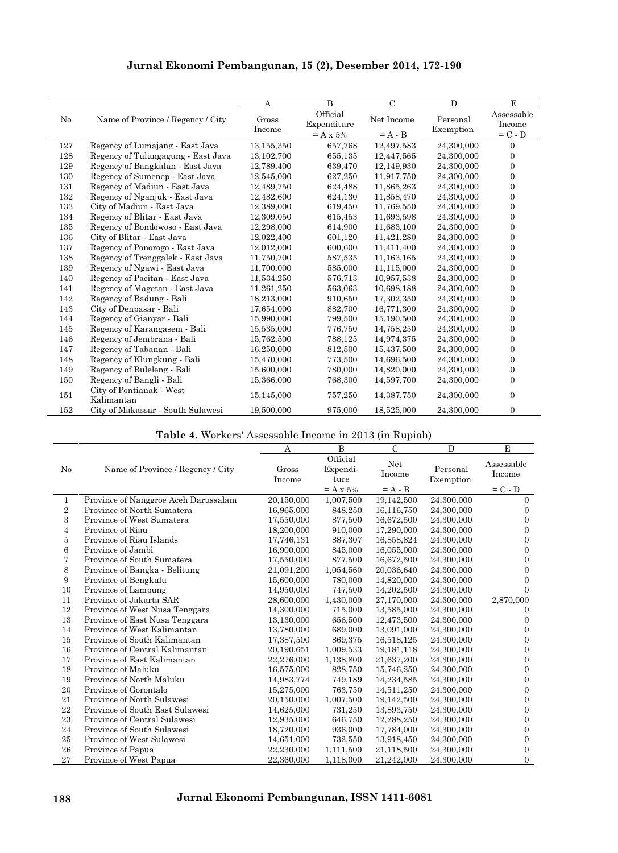|     |                                        | A            | $\overline{B}$ | $\mathcal{C}$ | $\mathbf{D}$ | E            |
|-----|----------------------------------------|--------------|----------------|---------------|--------------|--------------|
| No  | Name of Province / Regency / City      | Gross        | Official       | Net Income    | Personal     | Assessable   |
|     |                                        | Income       | Expenditure    |               | Exemption    | Income       |
|     |                                        |              | $=$ A x 5%     | $= A - B$     |              | $= C - D$    |
| 127 | Regency of Lumajang - East Java        | 13,155,350   | 657,768        | 12,497,583    | 24,300,000   | $\Omega$     |
| 128 | Regency of Tulungagung - East Java     | 13, 102, 700 | 655,135        | 12,447,565    | 24,300,000   | $\Omega$     |
| 129 | Regency of Bangkalan - East Java       | 12,789,400   | 639,470        | 12,149,930    | 24,300,000   | $\Omega$     |
| 130 | Regency of Sumenep - East Java         | 12,545,000   | 627,250        | 11,917,750    | 24,300,000   | $\Omega$     |
| 131 | Regency of Madiun - East Java          | 12,489,750   | 624,488        | 11,865,263    | 24,300,000   | $\Omega$     |
| 132 | Regency of Nganjuk - East Java         | 12.482.600   | 624,130        | 11.858.470    | 24.300.000   | $\Omega$     |
| 133 | City of Madiun - East Java             | 12,389,000   | 619,450        | 11,769,550    | 24,300,000   | $\Omega$     |
| 134 | Regency of Blitar - East Java          | 12,309,050   | 615,453        | 11,693,598    | 24,300,000   | $\Omega$     |
| 135 | Regency of Bondowoso - East Java       | 12,298,000   | 614,900        | 11,683,100    | 24,300,000   | $\mathbf{0}$ |
| 136 | City of Blitar - East Java             | 12,022,400   | 601,120        | 11,421,280    | 24,300,000   | $\Omega$     |
| 137 | Regency of Ponorogo - East Java        | 12,012,000   | 600,600        | 11,411,400    | 24,300,000   | $\Omega$     |
| 138 | Regency of Trenggalek - East Java      | 11,750,700   | 587,535        | 11, 163, 165  | 24,300,000   | $\Omega$     |
| 139 | Regency of Ngawi - East Java           | 11,700,000   | 585,000        | 11,115,000    | 24,300,000   | $\Omega$     |
| 140 | Regency of Pacitan - East Java         | 11,534,250   | 576,713        | 10,957,538    | 24,300,000   | $\Omega$     |
| 141 | Regency of Magetan - East Java         | 11,261,250   | 563,063        | 10,698,188    | 24,300,000   | $\Omega$     |
| 142 | Regency of Badung - Bali               | 18,213,000   | 910,650        | 17,302,350    | 24,300,000   | $\Omega$     |
| 143 | City of Denpasar - Bali                | 17,654,000   | 882,700        | 16,771,300    | 24,300,000   | $\Omega$     |
| 144 | Regency of Gianyar - Bali              | 15,990,000   | 799,500        | 15,190,500    | 24,300,000   | $\Omega$     |
| 145 | Regency of Karangasem - Bali           | 15,535,000   | 776,750        | 14,758,250    | 24,300,000   | $\Omega$     |
| 146 | Regency of Jembrana - Bali             | 15,762,500   | 788,125        | 14,974,375    | 24,300,000   | $\Omega$     |
| 147 | Regency of Tabanan - Bali              | 16,250,000   | 812,500        | 15,437,500    | 24.300.000   | $\Omega$     |
| 148 | Regency of Klungkung - Bali            | 15,470,000   | 773,500        | 14,696,500    | 24,300,000   | $\Omega$     |
| 149 | Regency of Buleleng - Bali             | 15,600,000   | 780,000        | 14,820,000    | 24,300,000   | $\mathbf{0}$ |
| 150 | Regency of Bangli - Bali               | 15,366,000   | 768,300        | 14,597,700    | 24,300,000   | $\mathbf{0}$ |
| 151 | City of Pontianak - West<br>Kalimantan | 15,145,000   | 757,250        | 14,387,750    | 24,300,000   | $\mathbf{0}$ |
| 152 | City of Makassar - South Sulawesi      | 19,500,000   | 975,000        | 18,525,000    | 24,300,000   | $\Omega$     |

|  |  | <b>Table 4.</b> Workers' Assessable Income in 2013 (in Rupiah) |
|--|--|----------------------------------------------------------------|
|--|--|----------------------------------------------------------------|

|                |                                      | Α               | B                            | $\mathcal{C}$ | D                     | Е                    |
|----------------|--------------------------------------|-----------------|------------------------------|---------------|-----------------------|----------------------|
| No             | Name of Province / Regency / City    | Gross<br>Income | Official<br>Expendi-<br>ture | Net<br>Income | Personal<br>Exemption | Assessable<br>Income |
|                |                                      |                 | $=$ A x 5%                   | $= A - B$     |                       | $= C - D$            |
| 1              | Province of Nanggroe Aceh Darussalam | 20,150,000      | 1,007,500                    | 19,142,500    | 24,300,000            | $\overline{0}$       |
| $\overline{2}$ | Province of North Sumatera           | 16,965,000      | 848,250                      | 16,116,750    | 24,300,000            | $\Omega$             |
| 3              | Province of West Sumatera            | 17,550,000      | 877,500                      | 16,672,500    | 24,300,000            | $\Omega$             |
| $\overline{4}$ | Province of Riau                     | 18,200,000      | 910,000                      | 17,290,000    | 24,300,000            | $\overline{0}$       |
| 5              | Province of Riau Islands             | 17,746,131      | 887,307                      | 16,858,824    | 24,300,000            | $\Omega$             |
| 6              | Province of Jambi                    | 16,900,000      | 845,000                      | 16,055,000    | 24,300,000            | $\overline{0}$       |
| 7              | Province of South Sumatera           | 17,550,000      | 877,500                      | 16,672,500    | 24,300,000            | $\overline{0}$       |
| 8              | Province of Bangka - Belitung        | 21,091,200      | 1,054,560                    | 20,036,640    | 24,300,000            | $\Omega$             |
| 9              | Province of Bengkulu                 | 15,600,000      | 780,000                      | 14,820,000    | 24,300,000            | $\Omega$             |
| 10             | Province of Lampung                  | 14,950,000      | 747,500                      | 14,202,500    | 24,300,000            | $\Omega$             |
| 11             | Province of Jakarta SAR              | 28,600,000      | 1,430,000                    | 27,170,000    | 24,300,000            | 2,870,000            |
| 12             | Province of West Nusa Tenggara       | 14,300,000      | 715,000                      | 13,585,000    | 24,300,000            | 0                    |
| 13             | Province of East Nusa Tenggara       | 13,130,000      | 656,500                      | 12,473,500    | 24,300,000            | $\overline{0}$       |
| 14             | Province of West Kalimantan          | 13,780,000      | 689,000                      | 13,091,000    | 24,300,000            | $\overline{0}$       |
| 15             | Province of South Kalimantan         | 17,387,500      | 869,375                      | 16,518,125    | 24,300,000            | $\Omega$             |
| 16             | Province of Central Kalimantan       | 20,190,651      | 1,009,533                    | 19, 181, 118  | 24,300,000            | $\Omega$             |
| 17             | Province of East Kalimantan          | 22,276,000      | 1,138,800                    | 21,637,200    | 24,300,000            | $\overline{0}$       |
| 18             | Province of Maluku                   | 16,575,000      | 828,750                      | 15,746,250    | 24,300,000            | $\overline{0}$       |
| 19             | Province of North Maluku             | 14,983,774      | 749,189                      | 14,234,585    | 24,300,000            | $\Omega$             |
| 20             | Province of Gorontalo                | 15,275,000      | 763,750                      | 14,511,250    | 24,300,000            | $\overline{0}$       |
| 21             | Province of North Sulawesi           | 20,150,000      | 1,007,500                    | 19,142,500    | 24,300,000            | $\overline{0}$       |
| 22             | Province of South East Sulawesi      | 14,625,000      | 731,250                      | 13,893,750    | 24,300,000            | $\Omega$             |
| 23             | Province of Central Sulawesi         | 12,935,000      | 646,750                      | 12,288,250    | 24,300,000            | $\overline{0}$       |
| 24             | Province of South Sulawesi           | 18,720,000      | 936,000                      | 17,784,000    | 24,300,000            | $\overline{0}$       |
| 25             | Province of West Sulawesi            | 14,651,000      | 732,550                      | 13,918,450    | 24,300,000            | $\Omega$             |
| 26             | Province of Papua                    | 22,230,000      | 1,111,500                    | 21,118,500    | 24,300,000            | $\Omega$             |
| 27             | Province of West Papua               | 22,360,000      | 1,118,000                    | 21,242,000    | 24,300,000            | $\Omega$             |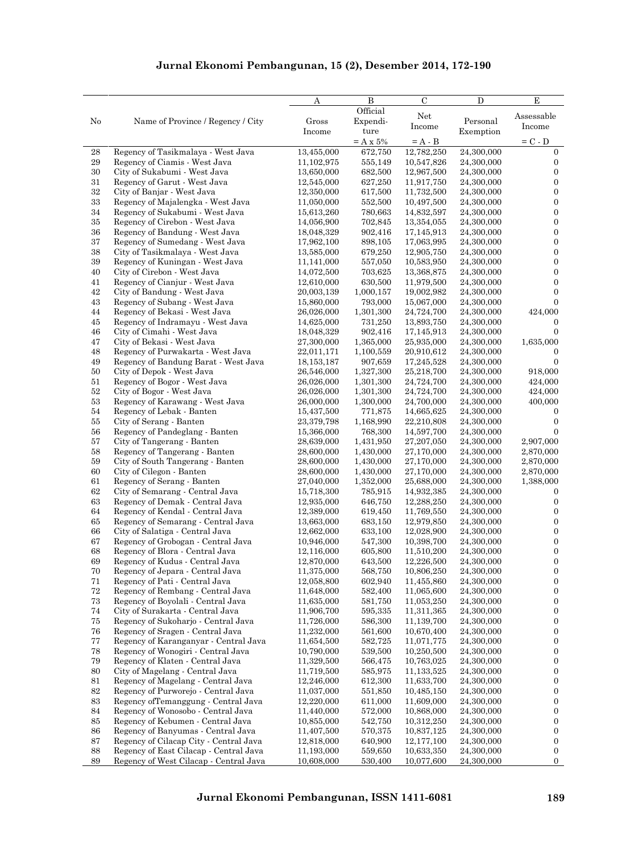| $\operatorname{Net}$<br>Assessable<br>No<br>Name of Province / Regency / City<br>Expendi-<br>Personal<br>Gross<br>Income<br>Income<br>ture<br>Income<br>Exemption<br>$= C - D$<br>$=$ A x 5%<br>$= A - B$<br>Regency of Tasikmalaya - West Java<br>13,455,000<br>672,750<br>12,782,250<br>24,300,000<br>$\mathbf{0}$<br>$\bf 29$<br>Regency of Ciamis - West Java<br>11,102,975<br>$\boldsymbol{0}$<br>555,149<br>10,547,826<br>24,300,000<br>$\boldsymbol{0}$<br>30<br>City of Sukabumi - West Java<br>682,500<br>13,650,000<br>12,967,500<br>24,300,000<br>$\boldsymbol{0}$<br>31<br>Regency of Garut - West Java<br>12,545,000<br>627,250<br>11,917,750<br>24,300,000<br>$32\,$<br>$\boldsymbol{0}$<br>City of Banjar - West Java<br>12,350,000<br>617,500<br>11,732,500<br>24,300,000<br>$33\,$<br>$\boldsymbol{0}$<br>Regency of Majalengka - West Java<br>11,050,000<br>552,500<br>24,300,000<br>10,497,500<br>$\boldsymbol{0}$<br>34<br>Regency of Sukabumi - West Java<br>15,613,260<br>780,663<br>24,300,000<br>14,832,597<br>$\boldsymbol{0}$<br>35<br>Regency of Cirebon - West Java<br>14,056,900<br>702,845<br>13,354,055<br>24,300,000<br>$\boldsymbol{0}$<br>36<br>Regency of Bandung - West Java<br>902,416<br>24,300,000<br>18,048,329<br>17,145,913<br>37<br>$\boldsymbol{0}$<br>Regency of Sumedang - West Java<br>17,962,100<br>898,105<br>17,063,995<br>24,300,000<br>$\boldsymbol{0}$<br>38<br>City of Tasikmalaya - West Java<br>13,585,000<br>679,250<br>12,905,750<br>24,300,000<br>$\boldsymbol{0}$<br>Regency of Kuningan - West Java<br>557,050<br>11,141,000<br>10,583,950<br>24,300,000<br>$\boldsymbol{0}$<br>City of Cirebon - West Java<br>14,072,500<br>703,625<br>13,368,875<br>24,300,000<br>$\boldsymbol{0}$<br>Regency of Cianjur - West Java<br>12,610,000<br>630,500<br>24,300,000<br>11,979,500<br>$\boldsymbol{0}$<br>City of Bandung - West Java<br>20,003,139<br>1,000,157<br>19,002,982<br>24,300,000<br>15,860,000<br>793,000<br>$\mathbf{0}$<br>Regency of Subang - West Java<br>15,067,000<br>24,300,000<br>424,000<br>Regency of Bekasi - West Java<br>26,026,000<br>1,301,300<br>24,724,700<br>24,300,000<br>Regency of Indramayu - West Java<br>14,625,000<br>24,300,000<br>$\boldsymbol{0}$<br>45<br>731,250<br>13,893,750<br>46<br>18,048,329<br>$\mathbf{0}$<br>City of Cimahi - West Java<br>902,416<br>17,145,913<br>24,300,000<br>47<br>City of Bekasi - West Java<br>27,300,000<br>1,365,000<br>25,935,000<br>24,300,000<br>1,635,000<br>$\rm 48$<br>Regency of Purwakarta - West Java<br>22,011,171<br>1,100,559<br>20,910,612<br>24,300,000<br>$\mathbf{0}$<br>$\overline{0}$<br>49<br>Regency of Bandung Barat - West Java<br>18, 153, 187<br>907,659<br>17,245,528<br>24,300,000<br>50<br>City of Depok - West Java<br>1,327,300<br>24,300,000<br>918,000<br>26,546,000<br>25,218,700<br>51<br>26,026,000<br>1,301,300<br>24,724,700<br>Regency of Bogor - West Java<br>24,300,000<br>424,000<br>$52\,$<br>City of Bogor - West Java<br>26,026,000<br>1,301,300<br>24,724,700<br>24,300,000<br>424,000<br>$53\,$<br>Regency of Karawang - West Java<br>26,000,000<br>1,300,000<br>24,300,000<br>400,000<br>24,700,000<br>54<br>Regency of Lebak - Banten<br>15,437,500<br>771,875<br>14,665,625<br>24,300,000<br>$\mathbf{0}$<br>$\boldsymbol{0}$<br>55<br>City of Serang - Banten<br>24,300,000<br>23,379,798<br>1,168,990<br>22,210,808<br>56<br>Regency of Pandeglang - Banten<br>15,366,000<br>768,300<br>24,300,000<br>$\mathbf{0}$<br>14,597,700<br>57<br>City of Tangerang - Banten<br>28,639,000<br>1,431,950<br>27,207,050<br>24,300,000<br>2,907,000<br>Regency of Tangerang - Banten<br>28,600,000<br>1,430,000<br>27,170,000<br>24,300,000<br>2,870,000<br>City of South Tangerang - Banten<br>24,300,000<br>2,870,000<br>28,600,000<br>1,430,000<br>27,170,000<br>2,870,000<br>City of Cilegon - Banten<br>28,600,000<br>1,430,000<br>27,170,000<br>24,300,000<br>Regency of Serang - Banten<br>25,688,000<br>1,388,000<br>27,040,000<br>1,352,000<br>24,300,000<br>62<br>City of Semarang - Central Java<br>15,718,300<br>24,300,000<br>785,915<br>14,932,385<br>$\mathbf{0}$<br>63<br>Regency of Demak - Central Java<br>12,935,000<br>$\boldsymbol{0}$<br>646,750<br>12,288,250<br>24,300,000<br>$\boldsymbol{0}$<br>64<br>Regency of Kendal - Central Java<br>619,450<br>24,300,000<br>12,389,000<br>11,769,550<br>$\boldsymbol{0}$<br>65<br>Regency of Semarang - Central Java<br>683,150<br>24,300,000<br>13,663,000<br>12,979,850<br>$\boldsymbol{0}$<br>66<br>City of Salatiga - Central Java<br>12,662,000<br>633,100<br>12,028,900<br>24,300,000<br>$\boldsymbol{0}$<br>67<br>Regency of Grobogan - Central Java<br>10,946,000<br>547,300<br>10,398,700<br>24,300,000<br>68<br>$\mathbf{0}$<br>Regency of Blora - Central Java<br>12,116,000<br>605,800<br>11,510,200<br>24,300,000<br>69<br>Regency of Kudus - Central Java<br>12,870,000<br>643,500<br>12,226,500<br>24,300,000<br>$\mathbf{0}$<br>$\boldsymbol{0}$<br>70<br>Regency of Jepara - Central Java<br>11,375,000<br>568,750<br>24,300,000<br>10,806,250<br>71<br>$\boldsymbol{0}$<br>Regency of Pati - Central Java<br>12,058,800<br>602,940<br>11,455,860<br>24,300,000<br>Regency of Rembang - Central Java<br>$\boldsymbol{0}$<br>11,648,000<br>582,400<br>11,065,600<br>24,300,000<br>$\boldsymbol{0}$<br>Regency of Boyolali - Central Java<br>11,635,000<br>24,300,000<br>581,750<br>11,053,250<br>City of Surakarta - Central Java<br>$\boldsymbol{0}$<br>11,906,700<br>595,335<br>11,311,365<br>24,300,000<br>Regency of Sukoharjo - Central Java<br>11,726,000<br>$\boldsymbol{0}$<br>586,300<br>11,139,700<br>24,300,000<br>Regency of Sragen - Central Java<br>11,232,000<br>$\boldsymbol{0}$<br>561,600<br>10,670,400<br>24,300,000<br>Regency of Karanganyar - Central Java<br>$\mathbf{0}$<br>11,654,500<br>582,725<br>11,071,775<br>24,300,000<br>Regency of Wonogiri - Central Java<br>$\boldsymbol{0}$<br>10,790,000<br>539,500<br>10,250,500<br>24,300,000<br>Regency of Klaten - Central Java<br>11,329,500<br>10,763,025<br>24,300,000<br>$\boldsymbol{0}$<br>566,475<br>City of Magelang - Central Java<br>$\boldsymbol{0}$<br>11,719,500<br>585,975<br>11,133,525<br>24,300,000<br>Regency of Magelang - Central Java<br>$\boldsymbol{0}$<br>12,246,000<br>612,300<br>11,633,700<br>24,300,000<br>$82\,$<br>$\mathbf{0}$<br>Regency of Purworejo - Central Java<br>11,037,000<br>551,850<br>10,485,150<br>24,300,000<br>$\bf 83$<br>Regency of Temanggung - Central Java<br>12,220,000<br>$\boldsymbol{0}$<br>611,000<br>11,609,000<br>24,300,000<br>84<br>Regency of Wonosobo - Central Java<br>572,000<br>10,868,000<br>24,300,000<br>$\boldsymbol{0}$<br>11,440,000<br>85<br>Regency of Kebumen - Central Java<br>$\boldsymbol{0}$<br>10,855,000<br>542,750<br>10,312,250<br>24,300,000<br>86<br>Regency of Banyumas - Central Java<br>$\boldsymbol{0}$<br>11,407,500<br>570,375<br>10,837,125<br>24,300,000<br>87<br>Regency of Cilacap City - Central Java<br>12,818,000<br>640,900<br>12,177,100<br>24,300,000<br>$\mathbf{0}$<br>88<br>Regency of East Cilacap - Central Java<br>24,300,000<br>$\boldsymbol{0}$<br>11,193,000<br>559,650<br>10,633,350 |          |                                        | Α          | B        | $\mathbf C$ | D          | E            |
|---------------------------------------------------------------------------------------------------------------------------------------------------------------------------------------------------------------------------------------------------------------------------------------------------------------------------------------------------------------------------------------------------------------------------------------------------------------------------------------------------------------------------------------------------------------------------------------------------------------------------------------------------------------------------------------------------------------------------------------------------------------------------------------------------------------------------------------------------------------------------------------------------------------------------------------------------------------------------------------------------------------------------------------------------------------------------------------------------------------------------------------------------------------------------------------------------------------------------------------------------------------------------------------------------------------------------------------------------------------------------------------------------------------------------------------------------------------------------------------------------------------------------------------------------------------------------------------------------------------------------------------------------------------------------------------------------------------------------------------------------------------------------------------------------------------------------------------------------------------------------------------------------------------------------------------------------------------------------------------------------------------------------------------------------------------------------------------------------------------------------------------------------------------------------------------------------------------------------------------------------------------------------------------------------------------------------------------------------------------------------------------------------------------------------------------------------------------------------------------------------------------------------------------------------------------------------------------------------------------------------------------------------------------------------------------------------------------------------------------------------------------------------------------------------------------------------------------------------------------------------------------------------------------------------------------------------------------------------------------------------------------------------------------------------------------------------------------------------------------------------------------------------------------------------------------------------------------------------------------------------------------------------------------------------------------------------------------------------------------------------------------------------------------------------------------------------------------------------------------------------------------------------------------------------------------------------------------------------------------------------------------------------------------------------------------------------------------------------------------------------------------------------------------------------------------------------------------------------------------------------------------------------------------------------------------------------------------------------------------------------------------------------------------------------------------------------------------------------------------------------------------------------------------------------------------------------------------------------------------------------------------------------------------------------------------------------------------------------------------------------------------------------------------------------------------------------------------------------------------------------------------------------------------------------------------------------------------------------------------------------------------------------------------------------------------------------------------------------------------------------------------------------------------------------------------------------------------------------------------------------------------------------------------------------------------------------------------------------------------------------------------------------------------------------------------------------------------------------------------------------------------------------------------------------------------------------------------------------------------------------------------------------------------------------------------------------------------------------------------------------------------------------------------------------------------------------------------------------------------------------------------------------------------------------------------------------------------------------------------------------------------------------------------------------------------------------------------------------------------------------------------------------------------------------------------------------------------------------------------------------------------------------------------------------------------------------------------------------------------------------------------------------------------------------------------------------------------------------------------------------------------------------------------------------------------------------------------------------------------------------------------------------------------------------------------------------------------------------------------------------------------------------------------------------------------------------------------------------------------------------------------------------------------------------------------------------------------------------------------------------------------------------------------------------------------------------------------------------------------------------------------------------------------------------------------------------------------------------------------------------------------------------------------------------------------------------------------------------------------------------------------------------------------------------------------------------------------------------------------------------------------------------------------------------------------------------------------------------------------|----------|----------------------------------------|------------|----------|-------------|------------|--------------|
|                                                                                                                                                                                                                                                                                                                                                                                                                                                                                                                                                                                                                                                                                                                                                                                                                                                                                                                                                                                                                                                                                                                                                                                                                                                                                                                                                                                                                                                                                                                                                                                                                                                                                                                                                                                                                                                                                                                                                                                                                                                                                                                                                                                                                                                                                                                                                                                                                                                                                                                                                                                                                                                                                                                                                                                                                                                                                                                                                                                                                                                                                                                                                                                                                                                                                                                                                                                                                                                                                                                                                                                                                                                                                                                                                                                                                                                                                                                                                                                                                                                                                                                                                                                                                                                                                                                                                                                                                                                                                                                                                                                                                                                                                                                                                                                                                                                                                                                                                                                                                                                                                                                                                                                                                                                                                                                                                                                                                                                                                                                                                                                                                                                                                                                                                                                                                                                                                                                                                                                                                                                                                                                                                                                                                                                                                                                                                                                                                                                                                                                                                                                                                                                                                                                                                                                                                                                                                                                                                                                                                                                                                                                                                                                                                                       |          |                                        |            | Official |             |            |              |
|                                                                                                                                                                                                                                                                                                                                                                                                                                                                                                                                                                                                                                                                                                                                                                                                                                                                                                                                                                                                                                                                                                                                                                                                                                                                                                                                                                                                                                                                                                                                                                                                                                                                                                                                                                                                                                                                                                                                                                                                                                                                                                                                                                                                                                                                                                                                                                                                                                                                                                                                                                                                                                                                                                                                                                                                                                                                                                                                                                                                                                                                                                                                                                                                                                                                                                                                                                                                                                                                                                                                                                                                                                                                                                                                                                                                                                                                                                                                                                                                                                                                                                                                                                                                                                                                                                                                                                                                                                                                                                                                                                                                                                                                                                                                                                                                                                                                                                                                                                                                                                                                                                                                                                                                                                                                                                                                                                                                                                                                                                                                                                                                                                                                                                                                                                                                                                                                                                                                                                                                                                                                                                                                                                                                                                                                                                                                                                                                                                                                                                                                                                                                                                                                                                                                                                                                                                                                                                                                                                                                                                                                                                                                                                                                                                       |          |                                        |            |          |             |            |              |
|                                                                                                                                                                                                                                                                                                                                                                                                                                                                                                                                                                                                                                                                                                                                                                                                                                                                                                                                                                                                                                                                                                                                                                                                                                                                                                                                                                                                                                                                                                                                                                                                                                                                                                                                                                                                                                                                                                                                                                                                                                                                                                                                                                                                                                                                                                                                                                                                                                                                                                                                                                                                                                                                                                                                                                                                                                                                                                                                                                                                                                                                                                                                                                                                                                                                                                                                                                                                                                                                                                                                                                                                                                                                                                                                                                                                                                                                                                                                                                                                                                                                                                                                                                                                                                                                                                                                                                                                                                                                                                                                                                                                                                                                                                                                                                                                                                                                                                                                                                                                                                                                                                                                                                                                                                                                                                                                                                                                                                                                                                                                                                                                                                                                                                                                                                                                                                                                                                                                                                                                                                                                                                                                                                                                                                                                                                                                                                                                                                                                                                                                                                                                                                                                                                                                                                                                                                                                                                                                                                                                                                                                                                                                                                                                                                       |          |                                        |            |          |             |            |              |
|                                                                                                                                                                                                                                                                                                                                                                                                                                                                                                                                                                                                                                                                                                                                                                                                                                                                                                                                                                                                                                                                                                                                                                                                                                                                                                                                                                                                                                                                                                                                                                                                                                                                                                                                                                                                                                                                                                                                                                                                                                                                                                                                                                                                                                                                                                                                                                                                                                                                                                                                                                                                                                                                                                                                                                                                                                                                                                                                                                                                                                                                                                                                                                                                                                                                                                                                                                                                                                                                                                                                                                                                                                                                                                                                                                                                                                                                                                                                                                                                                                                                                                                                                                                                                                                                                                                                                                                                                                                                                                                                                                                                                                                                                                                                                                                                                                                                                                                                                                                                                                                                                                                                                                                                                                                                                                                                                                                                                                                                                                                                                                                                                                                                                                                                                                                                                                                                                                                                                                                                                                                                                                                                                                                                                                                                                                                                                                                                                                                                                                                                                                                                                                                                                                                                                                                                                                                                                                                                                                                                                                                                                                                                                                                                                                       | $\bf 28$ |                                        |            |          |             |            |              |
|                                                                                                                                                                                                                                                                                                                                                                                                                                                                                                                                                                                                                                                                                                                                                                                                                                                                                                                                                                                                                                                                                                                                                                                                                                                                                                                                                                                                                                                                                                                                                                                                                                                                                                                                                                                                                                                                                                                                                                                                                                                                                                                                                                                                                                                                                                                                                                                                                                                                                                                                                                                                                                                                                                                                                                                                                                                                                                                                                                                                                                                                                                                                                                                                                                                                                                                                                                                                                                                                                                                                                                                                                                                                                                                                                                                                                                                                                                                                                                                                                                                                                                                                                                                                                                                                                                                                                                                                                                                                                                                                                                                                                                                                                                                                                                                                                                                                                                                                                                                                                                                                                                                                                                                                                                                                                                                                                                                                                                                                                                                                                                                                                                                                                                                                                                                                                                                                                                                                                                                                                                                                                                                                                                                                                                                                                                                                                                                                                                                                                                                                                                                                                                                                                                                                                                                                                                                                                                                                                                                                                                                                                                                                                                                                                                       |          |                                        |            |          |             |            |              |
|                                                                                                                                                                                                                                                                                                                                                                                                                                                                                                                                                                                                                                                                                                                                                                                                                                                                                                                                                                                                                                                                                                                                                                                                                                                                                                                                                                                                                                                                                                                                                                                                                                                                                                                                                                                                                                                                                                                                                                                                                                                                                                                                                                                                                                                                                                                                                                                                                                                                                                                                                                                                                                                                                                                                                                                                                                                                                                                                                                                                                                                                                                                                                                                                                                                                                                                                                                                                                                                                                                                                                                                                                                                                                                                                                                                                                                                                                                                                                                                                                                                                                                                                                                                                                                                                                                                                                                                                                                                                                                                                                                                                                                                                                                                                                                                                                                                                                                                                                                                                                                                                                                                                                                                                                                                                                                                                                                                                                                                                                                                                                                                                                                                                                                                                                                                                                                                                                                                                                                                                                                                                                                                                                                                                                                                                                                                                                                                                                                                                                                                                                                                                                                                                                                                                                                                                                                                                                                                                                                                                                                                                                                                                                                                                                                       |          |                                        |            |          |             |            |              |
|                                                                                                                                                                                                                                                                                                                                                                                                                                                                                                                                                                                                                                                                                                                                                                                                                                                                                                                                                                                                                                                                                                                                                                                                                                                                                                                                                                                                                                                                                                                                                                                                                                                                                                                                                                                                                                                                                                                                                                                                                                                                                                                                                                                                                                                                                                                                                                                                                                                                                                                                                                                                                                                                                                                                                                                                                                                                                                                                                                                                                                                                                                                                                                                                                                                                                                                                                                                                                                                                                                                                                                                                                                                                                                                                                                                                                                                                                                                                                                                                                                                                                                                                                                                                                                                                                                                                                                                                                                                                                                                                                                                                                                                                                                                                                                                                                                                                                                                                                                                                                                                                                                                                                                                                                                                                                                                                                                                                                                                                                                                                                                                                                                                                                                                                                                                                                                                                                                                                                                                                                                                                                                                                                                                                                                                                                                                                                                                                                                                                                                                                                                                                                                                                                                                                                                                                                                                                                                                                                                                                                                                                                                                                                                                                                                       |          |                                        |            |          |             |            |              |
|                                                                                                                                                                                                                                                                                                                                                                                                                                                                                                                                                                                                                                                                                                                                                                                                                                                                                                                                                                                                                                                                                                                                                                                                                                                                                                                                                                                                                                                                                                                                                                                                                                                                                                                                                                                                                                                                                                                                                                                                                                                                                                                                                                                                                                                                                                                                                                                                                                                                                                                                                                                                                                                                                                                                                                                                                                                                                                                                                                                                                                                                                                                                                                                                                                                                                                                                                                                                                                                                                                                                                                                                                                                                                                                                                                                                                                                                                                                                                                                                                                                                                                                                                                                                                                                                                                                                                                                                                                                                                                                                                                                                                                                                                                                                                                                                                                                                                                                                                                                                                                                                                                                                                                                                                                                                                                                                                                                                                                                                                                                                                                                                                                                                                                                                                                                                                                                                                                                                                                                                                                                                                                                                                                                                                                                                                                                                                                                                                                                                                                                                                                                                                                                                                                                                                                                                                                                                                                                                                                                                                                                                                                                                                                                                                                       |          |                                        |            |          |             |            |              |
|                                                                                                                                                                                                                                                                                                                                                                                                                                                                                                                                                                                                                                                                                                                                                                                                                                                                                                                                                                                                                                                                                                                                                                                                                                                                                                                                                                                                                                                                                                                                                                                                                                                                                                                                                                                                                                                                                                                                                                                                                                                                                                                                                                                                                                                                                                                                                                                                                                                                                                                                                                                                                                                                                                                                                                                                                                                                                                                                                                                                                                                                                                                                                                                                                                                                                                                                                                                                                                                                                                                                                                                                                                                                                                                                                                                                                                                                                                                                                                                                                                                                                                                                                                                                                                                                                                                                                                                                                                                                                                                                                                                                                                                                                                                                                                                                                                                                                                                                                                                                                                                                                                                                                                                                                                                                                                                                                                                                                                                                                                                                                                                                                                                                                                                                                                                                                                                                                                                                                                                                                                                                                                                                                                                                                                                                                                                                                                                                                                                                                                                                                                                                                                                                                                                                                                                                                                                                                                                                                                                                                                                                                                                                                                                                                                       |          |                                        |            |          |             |            |              |
|                                                                                                                                                                                                                                                                                                                                                                                                                                                                                                                                                                                                                                                                                                                                                                                                                                                                                                                                                                                                                                                                                                                                                                                                                                                                                                                                                                                                                                                                                                                                                                                                                                                                                                                                                                                                                                                                                                                                                                                                                                                                                                                                                                                                                                                                                                                                                                                                                                                                                                                                                                                                                                                                                                                                                                                                                                                                                                                                                                                                                                                                                                                                                                                                                                                                                                                                                                                                                                                                                                                                                                                                                                                                                                                                                                                                                                                                                                                                                                                                                                                                                                                                                                                                                                                                                                                                                                                                                                                                                                                                                                                                                                                                                                                                                                                                                                                                                                                                                                                                                                                                                                                                                                                                                                                                                                                                                                                                                                                                                                                                                                                                                                                                                                                                                                                                                                                                                                                                                                                                                                                                                                                                                                                                                                                                                                                                                                                                                                                                                                                                                                                                                                                                                                                                                                                                                                                                                                                                                                                                                                                                                                                                                                                                                                       |          |                                        |            |          |             |            |              |
|                                                                                                                                                                                                                                                                                                                                                                                                                                                                                                                                                                                                                                                                                                                                                                                                                                                                                                                                                                                                                                                                                                                                                                                                                                                                                                                                                                                                                                                                                                                                                                                                                                                                                                                                                                                                                                                                                                                                                                                                                                                                                                                                                                                                                                                                                                                                                                                                                                                                                                                                                                                                                                                                                                                                                                                                                                                                                                                                                                                                                                                                                                                                                                                                                                                                                                                                                                                                                                                                                                                                                                                                                                                                                                                                                                                                                                                                                                                                                                                                                                                                                                                                                                                                                                                                                                                                                                                                                                                                                                                                                                                                                                                                                                                                                                                                                                                                                                                                                                                                                                                                                                                                                                                                                                                                                                                                                                                                                                                                                                                                                                                                                                                                                                                                                                                                                                                                                                                                                                                                                                                                                                                                                                                                                                                                                                                                                                                                                                                                                                                                                                                                                                                                                                                                                                                                                                                                                                                                                                                                                                                                                                                                                                                                                                       |          |                                        |            |          |             |            |              |
|                                                                                                                                                                                                                                                                                                                                                                                                                                                                                                                                                                                                                                                                                                                                                                                                                                                                                                                                                                                                                                                                                                                                                                                                                                                                                                                                                                                                                                                                                                                                                                                                                                                                                                                                                                                                                                                                                                                                                                                                                                                                                                                                                                                                                                                                                                                                                                                                                                                                                                                                                                                                                                                                                                                                                                                                                                                                                                                                                                                                                                                                                                                                                                                                                                                                                                                                                                                                                                                                                                                                                                                                                                                                                                                                                                                                                                                                                                                                                                                                                                                                                                                                                                                                                                                                                                                                                                                                                                                                                                                                                                                                                                                                                                                                                                                                                                                                                                                                                                                                                                                                                                                                                                                                                                                                                                                                                                                                                                                                                                                                                                                                                                                                                                                                                                                                                                                                                                                                                                                                                                                                                                                                                                                                                                                                                                                                                                                                                                                                                                                                                                                                                                                                                                                                                                                                                                                                                                                                                                                                                                                                                                                                                                                                                                       |          |                                        |            |          |             |            |              |
|                                                                                                                                                                                                                                                                                                                                                                                                                                                                                                                                                                                                                                                                                                                                                                                                                                                                                                                                                                                                                                                                                                                                                                                                                                                                                                                                                                                                                                                                                                                                                                                                                                                                                                                                                                                                                                                                                                                                                                                                                                                                                                                                                                                                                                                                                                                                                                                                                                                                                                                                                                                                                                                                                                                                                                                                                                                                                                                                                                                                                                                                                                                                                                                                                                                                                                                                                                                                                                                                                                                                                                                                                                                                                                                                                                                                                                                                                                                                                                                                                                                                                                                                                                                                                                                                                                                                                                                                                                                                                                                                                                                                                                                                                                                                                                                                                                                                                                                                                                                                                                                                                                                                                                                                                                                                                                                                                                                                                                                                                                                                                                                                                                                                                                                                                                                                                                                                                                                                                                                                                                                                                                                                                                                                                                                                                                                                                                                                                                                                                                                                                                                                                                                                                                                                                                                                                                                                                                                                                                                                                                                                                                                                                                                                                                       |          |                                        |            |          |             |            |              |
|                                                                                                                                                                                                                                                                                                                                                                                                                                                                                                                                                                                                                                                                                                                                                                                                                                                                                                                                                                                                                                                                                                                                                                                                                                                                                                                                                                                                                                                                                                                                                                                                                                                                                                                                                                                                                                                                                                                                                                                                                                                                                                                                                                                                                                                                                                                                                                                                                                                                                                                                                                                                                                                                                                                                                                                                                                                                                                                                                                                                                                                                                                                                                                                                                                                                                                                                                                                                                                                                                                                                                                                                                                                                                                                                                                                                                                                                                                                                                                                                                                                                                                                                                                                                                                                                                                                                                                                                                                                                                                                                                                                                                                                                                                                                                                                                                                                                                                                                                                                                                                                                                                                                                                                                                                                                                                                                                                                                                                                                                                                                                                                                                                                                                                                                                                                                                                                                                                                                                                                                                                                                                                                                                                                                                                                                                                                                                                                                                                                                                                                                                                                                                                                                                                                                                                                                                                                                                                                                                                                                                                                                                                                                                                                                                                       | 39       |                                        |            |          |             |            |              |
|                                                                                                                                                                                                                                                                                                                                                                                                                                                                                                                                                                                                                                                                                                                                                                                                                                                                                                                                                                                                                                                                                                                                                                                                                                                                                                                                                                                                                                                                                                                                                                                                                                                                                                                                                                                                                                                                                                                                                                                                                                                                                                                                                                                                                                                                                                                                                                                                                                                                                                                                                                                                                                                                                                                                                                                                                                                                                                                                                                                                                                                                                                                                                                                                                                                                                                                                                                                                                                                                                                                                                                                                                                                                                                                                                                                                                                                                                                                                                                                                                                                                                                                                                                                                                                                                                                                                                                                                                                                                                                                                                                                                                                                                                                                                                                                                                                                                                                                                                                                                                                                                                                                                                                                                                                                                                                                                                                                                                                                                                                                                                                                                                                                                                                                                                                                                                                                                                                                                                                                                                                                                                                                                                                                                                                                                                                                                                                                                                                                                                                                                                                                                                                                                                                                                                                                                                                                                                                                                                                                                                                                                                                                                                                                                                                       | 40       |                                        |            |          |             |            |              |
|                                                                                                                                                                                                                                                                                                                                                                                                                                                                                                                                                                                                                                                                                                                                                                                                                                                                                                                                                                                                                                                                                                                                                                                                                                                                                                                                                                                                                                                                                                                                                                                                                                                                                                                                                                                                                                                                                                                                                                                                                                                                                                                                                                                                                                                                                                                                                                                                                                                                                                                                                                                                                                                                                                                                                                                                                                                                                                                                                                                                                                                                                                                                                                                                                                                                                                                                                                                                                                                                                                                                                                                                                                                                                                                                                                                                                                                                                                                                                                                                                                                                                                                                                                                                                                                                                                                                                                                                                                                                                                                                                                                                                                                                                                                                                                                                                                                                                                                                                                                                                                                                                                                                                                                                                                                                                                                                                                                                                                                                                                                                                                                                                                                                                                                                                                                                                                                                                                                                                                                                                                                                                                                                                                                                                                                                                                                                                                                                                                                                                                                                                                                                                                                                                                                                                                                                                                                                                                                                                                                                                                                                                                                                                                                                                                       | 41       |                                        |            |          |             |            |              |
|                                                                                                                                                                                                                                                                                                                                                                                                                                                                                                                                                                                                                                                                                                                                                                                                                                                                                                                                                                                                                                                                                                                                                                                                                                                                                                                                                                                                                                                                                                                                                                                                                                                                                                                                                                                                                                                                                                                                                                                                                                                                                                                                                                                                                                                                                                                                                                                                                                                                                                                                                                                                                                                                                                                                                                                                                                                                                                                                                                                                                                                                                                                                                                                                                                                                                                                                                                                                                                                                                                                                                                                                                                                                                                                                                                                                                                                                                                                                                                                                                                                                                                                                                                                                                                                                                                                                                                                                                                                                                                                                                                                                                                                                                                                                                                                                                                                                                                                                                                                                                                                                                                                                                                                                                                                                                                                                                                                                                                                                                                                                                                                                                                                                                                                                                                                                                                                                                                                                                                                                                                                                                                                                                                                                                                                                                                                                                                                                                                                                                                                                                                                                                                                                                                                                                                                                                                                                                                                                                                                                                                                                                                                                                                                                                                       | 42       |                                        |            |          |             |            |              |
|                                                                                                                                                                                                                                                                                                                                                                                                                                                                                                                                                                                                                                                                                                                                                                                                                                                                                                                                                                                                                                                                                                                                                                                                                                                                                                                                                                                                                                                                                                                                                                                                                                                                                                                                                                                                                                                                                                                                                                                                                                                                                                                                                                                                                                                                                                                                                                                                                                                                                                                                                                                                                                                                                                                                                                                                                                                                                                                                                                                                                                                                                                                                                                                                                                                                                                                                                                                                                                                                                                                                                                                                                                                                                                                                                                                                                                                                                                                                                                                                                                                                                                                                                                                                                                                                                                                                                                                                                                                                                                                                                                                                                                                                                                                                                                                                                                                                                                                                                                                                                                                                                                                                                                                                                                                                                                                                                                                                                                                                                                                                                                                                                                                                                                                                                                                                                                                                                                                                                                                                                                                                                                                                                                                                                                                                                                                                                                                                                                                                                                                                                                                                                                                                                                                                                                                                                                                                                                                                                                                                                                                                                                                                                                                                                                       | 43       |                                        |            |          |             |            |              |
|                                                                                                                                                                                                                                                                                                                                                                                                                                                                                                                                                                                                                                                                                                                                                                                                                                                                                                                                                                                                                                                                                                                                                                                                                                                                                                                                                                                                                                                                                                                                                                                                                                                                                                                                                                                                                                                                                                                                                                                                                                                                                                                                                                                                                                                                                                                                                                                                                                                                                                                                                                                                                                                                                                                                                                                                                                                                                                                                                                                                                                                                                                                                                                                                                                                                                                                                                                                                                                                                                                                                                                                                                                                                                                                                                                                                                                                                                                                                                                                                                                                                                                                                                                                                                                                                                                                                                                                                                                                                                                                                                                                                                                                                                                                                                                                                                                                                                                                                                                                                                                                                                                                                                                                                                                                                                                                                                                                                                                                                                                                                                                                                                                                                                                                                                                                                                                                                                                                                                                                                                                                                                                                                                                                                                                                                                                                                                                                                                                                                                                                                                                                                                                                                                                                                                                                                                                                                                                                                                                                                                                                                                                                                                                                                                                       | 44       |                                        |            |          |             |            |              |
|                                                                                                                                                                                                                                                                                                                                                                                                                                                                                                                                                                                                                                                                                                                                                                                                                                                                                                                                                                                                                                                                                                                                                                                                                                                                                                                                                                                                                                                                                                                                                                                                                                                                                                                                                                                                                                                                                                                                                                                                                                                                                                                                                                                                                                                                                                                                                                                                                                                                                                                                                                                                                                                                                                                                                                                                                                                                                                                                                                                                                                                                                                                                                                                                                                                                                                                                                                                                                                                                                                                                                                                                                                                                                                                                                                                                                                                                                                                                                                                                                                                                                                                                                                                                                                                                                                                                                                                                                                                                                                                                                                                                                                                                                                                                                                                                                                                                                                                                                                                                                                                                                                                                                                                                                                                                                                                                                                                                                                                                                                                                                                                                                                                                                                                                                                                                                                                                                                                                                                                                                                                                                                                                                                                                                                                                                                                                                                                                                                                                                                                                                                                                                                                                                                                                                                                                                                                                                                                                                                                                                                                                                                                                                                                                                                       |          |                                        |            |          |             |            |              |
|                                                                                                                                                                                                                                                                                                                                                                                                                                                                                                                                                                                                                                                                                                                                                                                                                                                                                                                                                                                                                                                                                                                                                                                                                                                                                                                                                                                                                                                                                                                                                                                                                                                                                                                                                                                                                                                                                                                                                                                                                                                                                                                                                                                                                                                                                                                                                                                                                                                                                                                                                                                                                                                                                                                                                                                                                                                                                                                                                                                                                                                                                                                                                                                                                                                                                                                                                                                                                                                                                                                                                                                                                                                                                                                                                                                                                                                                                                                                                                                                                                                                                                                                                                                                                                                                                                                                                                                                                                                                                                                                                                                                                                                                                                                                                                                                                                                                                                                                                                                                                                                                                                                                                                                                                                                                                                                                                                                                                                                                                                                                                                                                                                                                                                                                                                                                                                                                                                                                                                                                                                                                                                                                                                                                                                                                                                                                                                                                                                                                                                                                                                                                                                                                                                                                                                                                                                                                                                                                                                                                                                                                                                                                                                                                                                       |          |                                        |            |          |             |            |              |
|                                                                                                                                                                                                                                                                                                                                                                                                                                                                                                                                                                                                                                                                                                                                                                                                                                                                                                                                                                                                                                                                                                                                                                                                                                                                                                                                                                                                                                                                                                                                                                                                                                                                                                                                                                                                                                                                                                                                                                                                                                                                                                                                                                                                                                                                                                                                                                                                                                                                                                                                                                                                                                                                                                                                                                                                                                                                                                                                                                                                                                                                                                                                                                                                                                                                                                                                                                                                                                                                                                                                                                                                                                                                                                                                                                                                                                                                                                                                                                                                                                                                                                                                                                                                                                                                                                                                                                                                                                                                                                                                                                                                                                                                                                                                                                                                                                                                                                                                                                                                                                                                                                                                                                                                                                                                                                                                                                                                                                                                                                                                                                                                                                                                                                                                                                                                                                                                                                                                                                                                                                                                                                                                                                                                                                                                                                                                                                                                                                                                                                                                                                                                                                                                                                                                                                                                                                                                                                                                                                                                                                                                                                                                                                                                                                       |          |                                        |            |          |             |            |              |
|                                                                                                                                                                                                                                                                                                                                                                                                                                                                                                                                                                                                                                                                                                                                                                                                                                                                                                                                                                                                                                                                                                                                                                                                                                                                                                                                                                                                                                                                                                                                                                                                                                                                                                                                                                                                                                                                                                                                                                                                                                                                                                                                                                                                                                                                                                                                                                                                                                                                                                                                                                                                                                                                                                                                                                                                                                                                                                                                                                                                                                                                                                                                                                                                                                                                                                                                                                                                                                                                                                                                                                                                                                                                                                                                                                                                                                                                                                                                                                                                                                                                                                                                                                                                                                                                                                                                                                                                                                                                                                                                                                                                                                                                                                                                                                                                                                                                                                                                                                                                                                                                                                                                                                                                                                                                                                                                                                                                                                                                                                                                                                                                                                                                                                                                                                                                                                                                                                                                                                                                                                                                                                                                                                                                                                                                                                                                                                                                                                                                                                                                                                                                                                                                                                                                                                                                                                                                                                                                                                                                                                                                                                                                                                                                                                       |          |                                        |            |          |             |            |              |
|                                                                                                                                                                                                                                                                                                                                                                                                                                                                                                                                                                                                                                                                                                                                                                                                                                                                                                                                                                                                                                                                                                                                                                                                                                                                                                                                                                                                                                                                                                                                                                                                                                                                                                                                                                                                                                                                                                                                                                                                                                                                                                                                                                                                                                                                                                                                                                                                                                                                                                                                                                                                                                                                                                                                                                                                                                                                                                                                                                                                                                                                                                                                                                                                                                                                                                                                                                                                                                                                                                                                                                                                                                                                                                                                                                                                                                                                                                                                                                                                                                                                                                                                                                                                                                                                                                                                                                                                                                                                                                                                                                                                                                                                                                                                                                                                                                                                                                                                                                                                                                                                                                                                                                                                                                                                                                                                                                                                                                                                                                                                                                                                                                                                                                                                                                                                                                                                                                                                                                                                                                                                                                                                                                                                                                                                                                                                                                                                                                                                                                                                                                                                                                                                                                                                                                                                                                                                                                                                                                                                                                                                                                                                                                                                                                       |          |                                        |            |          |             |            |              |
|                                                                                                                                                                                                                                                                                                                                                                                                                                                                                                                                                                                                                                                                                                                                                                                                                                                                                                                                                                                                                                                                                                                                                                                                                                                                                                                                                                                                                                                                                                                                                                                                                                                                                                                                                                                                                                                                                                                                                                                                                                                                                                                                                                                                                                                                                                                                                                                                                                                                                                                                                                                                                                                                                                                                                                                                                                                                                                                                                                                                                                                                                                                                                                                                                                                                                                                                                                                                                                                                                                                                                                                                                                                                                                                                                                                                                                                                                                                                                                                                                                                                                                                                                                                                                                                                                                                                                                                                                                                                                                                                                                                                                                                                                                                                                                                                                                                                                                                                                                                                                                                                                                                                                                                                                                                                                                                                                                                                                                                                                                                                                                                                                                                                                                                                                                                                                                                                                                                                                                                                                                                                                                                                                                                                                                                                                                                                                                                                                                                                                                                                                                                                                                                                                                                                                                                                                                                                                                                                                                                                                                                                                                                                                                                                                                       |          |                                        |            |          |             |            |              |
|                                                                                                                                                                                                                                                                                                                                                                                                                                                                                                                                                                                                                                                                                                                                                                                                                                                                                                                                                                                                                                                                                                                                                                                                                                                                                                                                                                                                                                                                                                                                                                                                                                                                                                                                                                                                                                                                                                                                                                                                                                                                                                                                                                                                                                                                                                                                                                                                                                                                                                                                                                                                                                                                                                                                                                                                                                                                                                                                                                                                                                                                                                                                                                                                                                                                                                                                                                                                                                                                                                                                                                                                                                                                                                                                                                                                                                                                                                                                                                                                                                                                                                                                                                                                                                                                                                                                                                                                                                                                                                                                                                                                                                                                                                                                                                                                                                                                                                                                                                                                                                                                                                                                                                                                                                                                                                                                                                                                                                                                                                                                                                                                                                                                                                                                                                                                                                                                                                                                                                                                                                                                                                                                                                                                                                                                                                                                                                                                                                                                                                                                                                                                                                                                                                                                                                                                                                                                                                                                                                                                                                                                                                                                                                                                                                       |          |                                        |            |          |             |            |              |
|                                                                                                                                                                                                                                                                                                                                                                                                                                                                                                                                                                                                                                                                                                                                                                                                                                                                                                                                                                                                                                                                                                                                                                                                                                                                                                                                                                                                                                                                                                                                                                                                                                                                                                                                                                                                                                                                                                                                                                                                                                                                                                                                                                                                                                                                                                                                                                                                                                                                                                                                                                                                                                                                                                                                                                                                                                                                                                                                                                                                                                                                                                                                                                                                                                                                                                                                                                                                                                                                                                                                                                                                                                                                                                                                                                                                                                                                                                                                                                                                                                                                                                                                                                                                                                                                                                                                                                                                                                                                                                                                                                                                                                                                                                                                                                                                                                                                                                                                                                                                                                                                                                                                                                                                                                                                                                                                                                                                                                                                                                                                                                                                                                                                                                                                                                                                                                                                                                                                                                                                                                                                                                                                                                                                                                                                                                                                                                                                                                                                                                                                                                                                                                                                                                                                                                                                                                                                                                                                                                                                                                                                                                                                                                                                                                       |          |                                        |            |          |             |            |              |
|                                                                                                                                                                                                                                                                                                                                                                                                                                                                                                                                                                                                                                                                                                                                                                                                                                                                                                                                                                                                                                                                                                                                                                                                                                                                                                                                                                                                                                                                                                                                                                                                                                                                                                                                                                                                                                                                                                                                                                                                                                                                                                                                                                                                                                                                                                                                                                                                                                                                                                                                                                                                                                                                                                                                                                                                                                                                                                                                                                                                                                                                                                                                                                                                                                                                                                                                                                                                                                                                                                                                                                                                                                                                                                                                                                                                                                                                                                                                                                                                                                                                                                                                                                                                                                                                                                                                                                                                                                                                                                                                                                                                                                                                                                                                                                                                                                                                                                                                                                                                                                                                                                                                                                                                                                                                                                                                                                                                                                                                                                                                                                                                                                                                                                                                                                                                                                                                                                                                                                                                                                                                                                                                                                                                                                                                                                                                                                                                                                                                                                                                                                                                                                                                                                                                                                                                                                                                                                                                                                                                                                                                                                                                                                                                                                       |          |                                        |            |          |             |            |              |
|                                                                                                                                                                                                                                                                                                                                                                                                                                                                                                                                                                                                                                                                                                                                                                                                                                                                                                                                                                                                                                                                                                                                                                                                                                                                                                                                                                                                                                                                                                                                                                                                                                                                                                                                                                                                                                                                                                                                                                                                                                                                                                                                                                                                                                                                                                                                                                                                                                                                                                                                                                                                                                                                                                                                                                                                                                                                                                                                                                                                                                                                                                                                                                                                                                                                                                                                                                                                                                                                                                                                                                                                                                                                                                                                                                                                                                                                                                                                                                                                                                                                                                                                                                                                                                                                                                                                                                                                                                                                                                                                                                                                                                                                                                                                                                                                                                                                                                                                                                                                                                                                                                                                                                                                                                                                                                                                                                                                                                                                                                                                                                                                                                                                                                                                                                                                                                                                                                                                                                                                                                                                                                                                                                                                                                                                                                                                                                                                                                                                                                                                                                                                                                                                                                                                                                                                                                                                                                                                                                                                                                                                                                                                                                                                                                       |          |                                        |            |          |             |            |              |
|                                                                                                                                                                                                                                                                                                                                                                                                                                                                                                                                                                                                                                                                                                                                                                                                                                                                                                                                                                                                                                                                                                                                                                                                                                                                                                                                                                                                                                                                                                                                                                                                                                                                                                                                                                                                                                                                                                                                                                                                                                                                                                                                                                                                                                                                                                                                                                                                                                                                                                                                                                                                                                                                                                                                                                                                                                                                                                                                                                                                                                                                                                                                                                                                                                                                                                                                                                                                                                                                                                                                                                                                                                                                                                                                                                                                                                                                                                                                                                                                                                                                                                                                                                                                                                                                                                                                                                                                                                                                                                                                                                                                                                                                                                                                                                                                                                                                                                                                                                                                                                                                                                                                                                                                                                                                                                                                                                                                                                                                                                                                                                                                                                                                                                                                                                                                                                                                                                                                                                                                                                                                                                                                                                                                                                                                                                                                                                                                                                                                                                                                                                                                                                                                                                                                                                                                                                                                                                                                                                                                                                                                                                                                                                                                                                       |          |                                        |            |          |             |            |              |
|                                                                                                                                                                                                                                                                                                                                                                                                                                                                                                                                                                                                                                                                                                                                                                                                                                                                                                                                                                                                                                                                                                                                                                                                                                                                                                                                                                                                                                                                                                                                                                                                                                                                                                                                                                                                                                                                                                                                                                                                                                                                                                                                                                                                                                                                                                                                                                                                                                                                                                                                                                                                                                                                                                                                                                                                                                                                                                                                                                                                                                                                                                                                                                                                                                                                                                                                                                                                                                                                                                                                                                                                                                                                                                                                                                                                                                                                                                                                                                                                                                                                                                                                                                                                                                                                                                                                                                                                                                                                                                                                                                                                                                                                                                                                                                                                                                                                                                                                                                                                                                                                                                                                                                                                                                                                                                                                                                                                                                                                                                                                                                                                                                                                                                                                                                                                                                                                                                                                                                                                                                                                                                                                                                                                                                                                                                                                                                                                                                                                                                                                                                                                                                                                                                                                                                                                                                                                                                                                                                                                                                                                                                                                                                                                                                       |          |                                        |            |          |             |            |              |
|                                                                                                                                                                                                                                                                                                                                                                                                                                                                                                                                                                                                                                                                                                                                                                                                                                                                                                                                                                                                                                                                                                                                                                                                                                                                                                                                                                                                                                                                                                                                                                                                                                                                                                                                                                                                                                                                                                                                                                                                                                                                                                                                                                                                                                                                                                                                                                                                                                                                                                                                                                                                                                                                                                                                                                                                                                                                                                                                                                                                                                                                                                                                                                                                                                                                                                                                                                                                                                                                                                                                                                                                                                                                                                                                                                                                                                                                                                                                                                                                                                                                                                                                                                                                                                                                                                                                                                                                                                                                                                                                                                                                                                                                                                                                                                                                                                                                                                                                                                                                                                                                                                                                                                                                                                                                                                                                                                                                                                                                                                                                                                                                                                                                                                                                                                                                                                                                                                                                                                                                                                                                                                                                                                                                                                                                                                                                                                                                                                                                                                                                                                                                                                                                                                                                                                                                                                                                                                                                                                                                                                                                                                                                                                                                                                       | 58       |                                        |            |          |             |            |              |
|                                                                                                                                                                                                                                                                                                                                                                                                                                                                                                                                                                                                                                                                                                                                                                                                                                                                                                                                                                                                                                                                                                                                                                                                                                                                                                                                                                                                                                                                                                                                                                                                                                                                                                                                                                                                                                                                                                                                                                                                                                                                                                                                                                                                                                                                                                                                                                                                                                                                                                                                                                                                                                                                                                                                                                                                                                                                                                                                                                                                                                                                                                                                                                                                                                                                                                                                                                                                                                                                                                                                                                                                                                                                                                                                                                                                                                                                                                                                                                                                                                                                                                                                                                                                                                                                                                                                                                                                                                                                                                                                                                                                                                                                                                                                                                                                                                                                                                                                                                                                                                                                                                                                                                                                                                                                                                                                                                                                                                                                                                                                                                                                                                                                                                                                                                                                                                                                                                                                                                                                                                                                                                                                                                                                                                                                                                                                                                                                                                                                                                                                                                                                                                                                                                                                                                                                                                                                                                                                                                                                                                                                                                                                                                                                                                       | 59       |                                        |            |          |             |            |              |
|                                                                                                                                                                                                                                                                                                                                                                                                                                                                                                                                                                                                                                                                                                                                                                                                                                                                                                                                                                                                                                                                                                                                                                                                                                                                                                                                                                                                                                                                                                                                                                                                                                                                                                                                                                                                                                                                                                                                                                                                                                                                                                                                                                                                                                                                                                                                                                                                                                                                                                                                                                                                                                                                                                                                                                                                                                                                                                                                                                                                                                                                                                                                                                                                                                                                                                                                                                                                                                                                                                                                                                                                                                                                                                                                                                                                                                                                                                                                                                                                                                                                                                                                                                                                                                                                                                                                                                                                                                                                                                                                                                                                                                                                                                                                                                                                                                                                                                                                                                                                                                                                                                                                                                                                                                                                                                                                                                                                                                                                                                                                                                                                                                                                                                                                                                                                                                                                                                                                                                                                                                                                                                                                                                                                                                                                                                                                                                                                                                                                                                                                                                                                                                                                                                                                                                                                                                                                                                                                                                                                                                                                                                                                                                                                                                       | 60       |                                        |            |          |             |            |              |
|                                                                                                                                                                                                                                                                                                                                                                                                                                                                                                                                                                                                                                                                                                                                                                                                                                                                                                                                                                                                                                                                                                                                                                                                                                                                                                                                                                                                                                                                                                                                                                                                                                                                                                                                                                                                                                                                                                                                                                                                                                                                                                                                                                                                                                                                                                                                                                                                                                                                                                                                                                                                                                                                                                                                                                                                                                                                                                                                                                                                                                                                                                                                                                                                                                                                                                                                                                                                                                                                                                                                                                                                                                                                                                                                                                                                                                                                                                                                                                                                                                                                                                                                                                                                                                                                                                                                                                                                                                                                                                                                                                                                                                                                                                                                                                                                                                                                                                                                                                                                                                                                                                                                                                                                                                                                                                                                                                                                                                                                                                                                                                                                                                                                                                                                                                                                                                                                                                                                                                                                                                                                                                                                                                                                                                                                                                                                                                                                                                                                                                                                                                                                                                                                                                                                                                                                                                                                                                                                                                                                                                                                                                                                                                                                                                       | 61       |                                        |            |          |             |            |              |
|                                                                                                                                                                                                                                                                                                                                                                                                                                                                                                                                                                                                                                                                                                                                                                                                                                                                                                                                                                                                                                                                                                                                                                                                                                                                                                                                                                                                                                                                                                                                                                                                                                                                                                                                                                                                                                                                                                                                                                                                                                                                                                                                                                                                                                                                                                                                                                                                                                                                                                                                                                                                                                                                                                                                                                                                                                                                                                                                                                                                                                                                                                                                                                                                                                                                                                                                                                                                                                                                                                                                                                                                                                                                                                                                                                                                                                                                                                                                                                                                                                                                                                                                                                                                                                                                                                                                                                                                                                                                                                                                                                                                                                                                                                                                                                                                                                                                                                                                                                                                                                                                                                                                                                                                                                                                                                                                                                                                                                                                                                                                                                                                                                                                                                                                                                                                                                                                                                                                                                                                                                                                                                                                                                                                                                                                                                                                                                                                                                                                                                                                                                                                                                                                                                                                                                                                                                                                                                                                                                                                                                                                                                                                                                                                                                       |          |                                        |            |          |             |            |              |
|                                                                                                                                                                                                                                                                                                                                                                                                                                                                                                                                                                                                                                                                                                                                                                                                                                                                                                                                                                                                                                                                                                                                                                                                                                                                                                                                                                                                                                                                                                                                                                                                                                                                                                                                                                                                                                                                                                                                                                                                                                                                                                                                                                                                                                                                                                                                                                                                                                                                                                                                                                                                                                                                                                                                                                                                                                                                                                                                                                                                                                                                                                                                                                                                                                                                                                                                                                                                                                                                                                                                                                                                                                                                                                                                                                                                                                                                                                                                                                                                                                                                                                                                                                                                                                                                                                                                                                                                                                                                                                                                                                                                                                                                                                                                                                                                                                                                                                                                                                                                                                                                                                                                                                                                                                                                                                                                                                                                                                                                                                                                                                                                                                                                                                                                                                                                                                                                                                                                                                                                                                                                                                                                                                                                                                                                                                                                                                                                                                                                                                                                                                                                                                                                                                                                                                                                                                                                                                                                                                                                                                                                                                                                                                                                                                       |          |                                        |            |          |             |            |              |
|                                                                                                                                                                                                                                                                                                                                                                                                                                                                                                                                                                                                                                                                                                                                                                                                                                                                                                                                                                                                                                                                                                                                                                                                                                                                                                                                                                                                                                                                                                                                                                                                                                                                                                                                                                                                                                                                                                                                                                                                                                                                                                                                                                                                                                                                                                                                                                                                                                                                                                                                                                                                                                                                                                                                                                                                                                                                                                                                                                                                                                                                                                                                                                                                                                                                                                                                                                                                                                                                                                                                                                                                                                                                                                                                                                                                                                                                                                                                                                                                                                                                                                                                                                                                                                                                                                                                                                                                                                                                                                                                                                                                                                                                                                                                                                                                                                                                                                                                                                                                                                                                                                                                                                                                                                                                                                                                                                                                                                                                                                                                                                                                                                                                                                                                                                                                                                                                                                                                                                                                                                                                                                                                                                                                                                                                                                                                                                                                                                                                                                                                                                                                                                                                                                                                                                                                                                                                                                                                                                                                                                                                                                                                                                                                                                       |          |                                        |            |          |             |            |              |
|                                                                                                                                                                                                                                                                                                                                                                                                                                                                                                                                                                                                                                                                                                                                                                                                                                                                                                                                                                                                                                                                                                                                                                                                                                                                                                                                                                                                                                                                                                                                                                                                                                                                                                                                                                                                                                                                                                                                                                                                                                                                                                                                                                                                                                                                                                                                                                                                                                                                                                                                                                                                                                                                                                                                                                                                                                                                                                                                                                                                                                                                                                                                                                                                                                                                                                                                                                                                                                                                                                                                                                                                                                                                                                                                                                                                                                                                                                                                                                                                                                                                                                                                                                                                                                                                                                                                                                                                                                                                                                                                                                                                                                                                                                                                                                                                                                                                                                                                                                                                                                                                                                                                                                                                                                                                                                                                                                                                                                                                                                                                                                                                                                                                                                                                                                                                                                                                                                                                                                                                                                                                                                                                                                                                                                                                                                                                                                                                                                                                                                                                                                                                                                                                                                                                                                                                                                                                                                                                                                                                                                                                                                                                                                                                                                       |          |                                        |            |          |             |            |              |
|                                                                                                                                                                                                                                                                                                                                                                                                                                                                                                                                                                                                                                                                                                                                                                                                                                                                                                                                                                                                                                                                                                                                                                                                                                                                                                                                                                                                                                                                                                                                                                                                                                                                                                                                                                                                                                                                                                                                                                                                                                                                                                                                                                                                                                                                                                                                                                                                                                                                                                                                                                                                                                                                                                                                                                                                                                                                                                                                                                                                                                                                                                                                                                                                                                                                                                                                                                                                                                                                                                                                                                                                                                                                                                                                                                                                                                                                                                                                                                                                                                                                                                                                                                                                                                                                                                                                                                                                                                                                                                                                                                                                                                                                                                                                                                                                                                                                                                                                                                                                                                                                                                                                                                                                                                                                                                                                                                                                                                                                                                                                                                                                                                                                                                                                                                                                                                                                                                                                                                                                                                                                                                                                                                                                                                                                                                                                                                                                                                                                                                                                                                                                                                                                                                                                                                                                                                                                                                                                                                                                                                                                                                                                                                                                                                       |          |                                        |            |          |             |            |              |
|                                                                                                                                                                                                                                                                                                                                                                                                                                                                                                                                                                                                                                                                                                                                                                                                                                                                                                                                                                                                                                                                                                                                                                                                                                                                                                                                                                                                                                                                                                                                                                                                                                                                                                                                                                                                                                                                                                                                                                                                                                                                                                                                                                                                                                                                                                                                                                                                                                                                                                                                                                                                                                                                                                                                                                                                                                                                                                                                                                                                                                                                                                                                                                                                                                                                                                                                                                                                                                                                                                                                                                                                                                                                                                                                                                                                                                                                                                                                                                                                                                                                                                                                                                                                                                                                                                                                                                                                                                                                                                                                                                                                                                                                                                                                                                                                                                                                                                                                                                                                                                                                                                                                                                                                                                                                                                                                                                                                                                                                                                                                                                                                                                                                                                                                                                                                                                                                                                                                                                                                                                                                                                                                                                                                                                                                                                                                                                                                                                                                                                                                                                                                                                                                                                                                                                                                                                                                                                                                                                                                                                                                                                                                                                                                                                       |          |                                        |            |          |             |            |              |
|                                                                                                                                                                                                                                                                                                                                                                                                                                                                                                                                                                                                                                                                                                                                                                                                                                                                                                                                                                                                                                                                                                                                                                                                                                                                                                                                                                                                                                                                                                                                                                                                                                                                                                                                                                                                                                                                                                                                                                                                                                                                                                                                                                                                                                                                                                                                                                                                                                                                                                                                                                                                                                                                                                                                                                                                                                                                                                                                                                                                                                                                                                                                                                                                                                                                                                                                                                                                                                                                                                                                                                                                                                                                                                                                                                                                                                                                                                                                                                                                                                                                                                                                                                                                                                                                                                                                                                                                                                                                                                                                                                                                                                                                                                                                                                                                                                                                                                                                                                                                                                                                                                                                                                                                                                                                                                                                                                                                                                                                                                                                                                                                                                                                                                                                                                                                                                                                                                                                                                                                                                                                                                                                                                                                                                                                                                                                                                                                                                                                                                                                                                                                                                                                                                                                                                                                                                                                                                                                                                                                                                                                                                                                                                                                                                       |          |                                        |            |          |             |            |              |
|                                                                                                                                                                                                                                                                                                                                                                                                                                                                                                                                                                                                                                                                                                                                                                                                                                                                                                                                                                                                                                                                                                                                                                                                                                                                                                                                                                                                                                                                                                                                                                                                                                                                                                                                                                                                                                                                                                                                                                                                                                                                                                                                                                                                                                                                                                                                                                                                                                                                                                                                                                                                                                                                                                                                                                                                                                                                                                                                                                                                                                                                                                                                                                                                                                                                                                                                                                                                                                                                                                                                                                                                                                                                                                                                                                                                                                                                                                                                                                                                                                                                                                                                                                                                                                                                                                                                                                                                                                                                                                                                                                                                                                                                                                                                                                                                                                                                                                                                                                                                                                                                                                                                                                                                                                                                                                                                                                                                                                                                                                                                                                                                                                                                                                                                                                                                                                                                                                                                                                                                                                                                                                                                                                                                                                                                                                                                                                                                                                                                                                                                                                                                                                                                                                                                                                                                                                                                                                                                                                                                                                                                                                                                                                                                                                       |          |                                        |            |          |             |            |              |
|                                                                                                                                                                                                                                                                                                                                                                                                                                                                                                                                                                                                                                                                                                                                                                                                                                                                                                                                                                                                                                                                                                                                                                                                                                                                                                                                                                                                                                                                                                                                                                                                                                                                                                                                                                                                                                                                                                                                                                                                                                                                                                                                                                                                                                                                                                                                                                                                                                                                                                                                                                                                                                                                                                                                                                                                                                                                                                                                                                                                                                                                                                                                                                                                                                                                                                                                                                                                                                                                                                                                                                                                                                                                                                                                                                                                                                                                                                                                                                                                                                                                                                                                                                                                                                                                                                                                                                                                                                                                                                                                                                                                                                                                                                                                                                                                                                                                                                                                                                                                                                                                                                                                                                                                                                                                                                                                                                                                                                                                                                                                                                                                                                                                                                                                                                                                                                                                                                                                                                                                                                                                                                                                                                                                                                                                                                                                                                                                                                                                                                                                                                                                                                                                                                                                                                                                                                                                                                                                                                                                                                                                                                                                                                                                                                       |          |                                        |            |          |             |            |              |
|                                                                                                                                                                                                                                                                                                                                                                                                                                                                                                                                                                                                                                                                                                                                                                                                                                                                                                                                                                                                                                                                                                                                                                                                                                                                                                                                                                                                                                                                                                                                                                                                                                                                                                                                                                                                                                                                                                                                                                                                                                                                                                                                                                                                                                                                                                                                                                                                                                                                                                                                                                                                                                                                                                                                                                                                                                                                                                                                                                                                                                                                                                                                                                                                                                                                                                                                                                                                                                                                                                                                                                                                                                                                                                                                                                                                                                                                                                                                                                                                                                                                                                                                                                                                                                                                                                                                                                                                                                                                                                                                                                                                                                                                                                                                                                                                                                                                                                                                                                                                                                                                                                                                                                                                                                                                                                                                                                                                                                                                                                                                                                                                                                                                                                                                                                                                                                                                                                                                                                                                                                                                                                                                                                                                                                                                                                                                                                                                                                                                                                                                                                                                                                                                                                                                                                                                                                                                                                                                                                                                                                                                                                                                                                                                                                       | 72       |                                        |            |          |             |            |              |
|                                                                                                                                                                                                                                                                                                                                                                                                                                                                                                                                                                                                                                                                                                                                                                                                                                                                                                                                                                                                                                                                                                                                                                                                                                                                                                                                                                                                                                                                                                                                                                                                                                                                                                                                                                                                                                                                                                                                                                                                                                                                                                                                                                                                                                                                                                                                                                                                                                                                                                                                                                                                                                                                                                                                                                                                                                                                                                                                                                                                                                                                                                                                                                                                                                                                                                                                                                                                                                                                                                                                                                                                                                                                                                                                                                                                                                                                                                                                                                                                                                                                                                                                                                                                                                                                                                                                                                                                                                                                                                                                                                                                                                                                                                                                                                                                                                                                                                                                                                                                                                                                                                                                                                                                                                                                                                                                                                                                                                                                                                                                                                                                                                                                                                                                                                                                                                                                                                                                                                                                                                                                                                                                                                                                                                                                                                                                                                                                                                                                                                                                                                                                                                                                                                                                                                                                                                                                                                                                                                                                                                                                                                                                                                                                                                       | $73\,$   |                                        |            |          |             |            |              |
|                                                                                                                                                                                                                                                                                                                                                                                                                                                                                                                                                                                                                                                                                                                                                                                                                                                                                                                                                                                                                                                                                                                                                                                                                                                                                                                                                                                                                                                                                                                                                                                                                                                                                                                                                                                                                                                                                                                                                                                                                                                                                                                                                                                                                                                                                                                                                                                                                                                                                                                                                                                                                                                                                                                                                                                                                                                                                                                                                                                                                                                                                                                                                                                                                                                                                                                                                                                                                                                                                                                                                                                                                                                                                                                                                                                                                                                                                                                                                                                                                                                                                                                                                                                                                                                                                                                                                                                                                                                                                                                                                                                                                                                                                                                                                                                                                                                                                                                                                                                                                                                                                                                                                                                                                                                                                                                                                                                                                                                                                                                                                                                                                                                                                                                                                                                                                                                                                                                                                                                                                                                                                                                                                                                                                                                                                                                                                                                                                                                                                                                                                                                                                                                                                                                                                                                                                                                                                                                                                                                                                                                                                                                                                                                                                                       | 74       |                                        |            |          |             |            |              |
|                                                                                                                                                                                                                                                                                                                                                                                                                                                                                                                                                                                                                                                                                                                                                                                                                                                                                                                                                                                                                                                                                                                                                                                                                                                                                                                                                                                                                                                                                                                                                                                                                                                                                                                                                                                                                                                                                                                                                                                                                                                                                                                                                                                                                                                                                                                                                                                                                                                                                                                                                                                                                                                                                                                                                                                                                                                                                                                                                                                                                                                                                                                                                                                                                                                                                                                                                                                                                                                                                                                                                                                                                                                                                                                                                                                                                                                                                                                                                                                                                                                                                                                                                                                                                                                                                                                                                                                                                                                                                                                                                                                                                                                                                                                                                                                                                                                                                                                                                                                                                                                                                                                                                                                                                                                                                                                                                                                                                                                                                                                                                                                                                                                                                                                                                                                                                                                                                                                                                                                                                                                                                                                                                                                                                                                                                                                                                                                                                                                                                                                                                                                                                                                                                                                                                                                                                                                                                                                                                                                                                                                                                                                                                                                                                                       | 75       |                                        |            |          |             |            |              |
|                                                                                                                                                                                                                                                                                                                                                                                                                                                                                                                                                                                                                                                                                                                                                                                                                                                                                                                                                                                                                                                                                                                                                                                                                                                                                                                                                                                                                                                                                                                                                                                                                                                                                                                                                                                                                                                                                                                                                                                                                                                                                                                                                                                                                                                                                                                                                                                                                                                                                                                                                                                                                                                                                                                                                                                                                                                                                                                                                                                                                                                                                                                                                                                                                                                                                                                                                                                                                                                                                                                                                                                                                                                                                                                                                                                                                                                                                                                                                                                                                                                                                                                                                                                                                                                                                                                                                                                                                                                                                                                                                                                                                                                                                                                                                                                                                                                                                                                                                                                                                                                                                                                                                                                                                                                                                                                                                                                                                                                                                                                                                                                                                                                                                                                                                                                                                                                                                                                                                                                                                                                                                                                                                                                                                                                                                                                                                                                                                                                                                                                                                                                                                                                                                                                                                                                                                                                                                                                                                                                                                                                                                                                                                                                                                                       | 76       |                                        |            |          |             |            |              |
|                                                                                                                                                                                                                                                                                                                                                                                                                                                                                                                                                                                                                                                                                                                                                                                                                                                                                                                                                                                                                                                                                                                                                                                                                                                                                                                                                                                                                                                                                                                                                                                                                                                                                                                                                                                                                                                                                                                                                                                                                                                                                                                                                                                                                                                                                                                                                                                                                                                                                                                                                                                                                                                                                                                                                                                                                                                                                                                                                                                                                                                                                                                                                                                                                                                                                                                                                                                                                                                                                                                                                                                                                                                                                                                                                                                                                                                                                                                                                                                                                                                                                                                                                                                                                                                                                                                                                                                                                                                                                                                                                                                                                                                                                                                                                                                                                                                                                                                                                                                                                                                                                                                                                                                                                                                                                                                                                                                                                                                                                                                                                                                                                                                                                                                                                                                                                                                                                                                                                                                                                                                                                                                                                                                                                                                                                                                                                                                                                                                                                                                                                                                                                                                                                                                                                                                                                                                                                                                                                                                                                                                                                                                                                                                                                                       | 77       |                                        |            |          |             |            |              |
|                                                                                                                                                                                                                                                                                                                                                                                                                                                                                                                                                                                                                                                                                                                                                                                                                                                                                                                                                                                                                                                                                                                                                                                                                                                                                                                                                                                                                                                                                                                                                                                                                                                                                                                                                                                                                                                                                                                                                                                                                                                                                                                                                                                                                                                                                                                                                                                                                                                                                                                                                                                                                                                                                                                                                                                                                                                                                                                                                                                                                                                                                                                                                                                                                                                                                                                                                                                                                                                                                                                                                                                                                                                                                                                                                                                                                                                                                                                                                                                                                                                                                                                                                                                                                                                                                                                                                                                                                                                                                                                                                                                                                                                                                                                                                                                                                                                                                                                                                                                                                                                                                                                                                                                                                                                                                                                                                                                                                                                                                                                                                                                                                                                                                                                                                                                                                                                                                                                                                                                                                                                                                                                                                                                                                                                                                                                                                                                                                                                                                                                                                                                                                                                                                                                                                                                                                                                                                                                                                                                                                                                                                                                                                                                                                                       | 78       |                                        |            |          |             |            |              |
|                                                                                                                                                                                                                                                                                                                                                                                                                                                                                                                                                                                                                                                                                                                                                                                                                                                                                                                                                                                                                                                                                                                                                                                                                                                                                                                                                                                                                                                                                                                                                                                                                                                                                                                                                                                                                                                                                                                                                                                                                                                                                                                                                                                                                                                                                                                                                                                                                                                                                                                                                                                                                                                                                                                                                                                                                                                                                                                                                                                                                                                                                                                                                                                                                                                                                                                                                                                                                                                                                                                                                                                                                                                                                                                                                                                                                                                                                                                                                                                                                                                                                                                                                                                                                                                                                                                                                                                                                                                                                                                                                                                                                                                                                                                                                                                                                                                                                                                                                                                                                                                                                                                                                                                                                                                                                                                                                                                                                                                                                                                                                                                                                                                                                                                                                                                                                                                                                                                                                                                                                                                                                                                                                                                                                                                                                                                                                                                                                                                                                                                                                                                                                                                                                                                                                                                                                                                                                                                                                                                                                                                                                                                                                                                                                                       | 79       |                                        |            |          |             |            |              |
|                                                                                                                                                                                                                                                                                                                                                                                                                                                                                                                                                                                                                                                                                                                                                                                                                                                                                                                                                                                                                                                                                                                                                                                                                                                                                                                                                                                                                                                                                                                                                                                                                                                                                                                                                                                                                                                                                                                                                                                                                                                                                                                                                                                                                                                                                                                                                                                                                                                                                                                                                                                                                                                                                                                                                                                                                                                                                                                                                                                                                                                                                                                                                                                                                                                                                                                                                                                                                                                                                                                                                                                                                                                                                                                                                                                                                                                                                                                                                                                                                                                                                                                                                                                                                                                                                                                                                                                                                                                                                                                                                                                                                                                                                                                                                                                                                                                                                                                                                                                                                                                                                                                                                                                                                                                                                                                                                                                                                                                                                                                                                                                                                                                                                                                                                                                                                                                                                                                                                                                                                                                                                                                                                                                                                                                                                                                                                                                                                                                                                                                                                                                                                                                                                                                                                                                                                                                                                                                                                                                                                                                                                                                                                                                                                                       | 80       |                                        |            |          |             |            |              |
|                                                                                                                                                                                                                                                                                                                                                                                                                                                                                                                                                                                                                                                                                                                                                                                                                                                                                                                                                                                                                                                                                                                                                                                                                                                                                                                                                                                                                                                                                                                                                                                                                                                                                                                                                                                                                                                                                                                                                                                                                                                                                                                                                                                                                                                                                                                                                                                                                                                                                                                                                                                                                                                                                                                                                                                                                                                                                                                                                                                                                                                                                                                                                                                                                                                                                                                                                                                                                                                                                                                                                                                                                                                                                                                                                                                                                                                                                                                                                                                                                                                                                                                                                                                                                                                                                                                                                                                                                                                                                                                                                                                                                                                                                                                                                                                                                                                                                                                                                                                                                                                                                                                                                                                                                                                                                                                                                                                                                                                                                                                                                                                                                                                                                                                                                                                                                                                                                                                                                                                                                                                                                                                                                                                                                                                                                                                                                                                                                                                                                                                                                                                                                                                                                                                                                                                                                                                                                                                                                                                                                                                                                                                                                                                                                                       | 81       |                                        |            |          |             |            |              |
|                                                                                                                                                                                                                                                                                                                                                                                                                                                                                                                                                                                                                                                                                                                                                                                                                                                                                                                                                                                                                                                                                                                                                                                                                                                                                                                                                                                                                                                                                                                                                                                                                                                                                                                                                                                                                                                                                                                                                                                                                                                                                                                                                                                                                                                                                                                                                                                                                                                                                                                                                                                                                                                                                                                                                                                                                                                                                                                                                                                                                                                                                                                                                                                                                                                                                                                                                                                                                                                                                                                                                                                                                                                                                                                                                                                                                                                                                                                                                                                                                                                                                                                                                                                                                                                                                                                                                                                                                                                                                                                                                                                                                                                                                                                                                                                                                                                                                                                                                                                                                                                                                                                                                                                                                                                                                                                                                                                                                                                                                                                                                                                                                                                                                                                                                                                                                                                                                                                                                                                                                                                                                                                                                                                                                                                                                                                                                                                                                                                                                                                                                                                                                                                                                                                                                                                                                                                                                                                                                                                                                                                                                                                                                                                                                                       |          |                                        |            |          |             |            |              |
|                                                                                                                                                                                                                                                                                                                                                                                                                                                                                                                                                                                                                                                                                                                                                                                                                                                                                                                                                                                                                                                                                                                                                                                                                                                                                                                                                                                                                                                                                                                                                                                                                                                                                                                                                                                                                                                                                                                                                                                                                                                                                                                                                                                                                                                                                                                                                                                                                                                                                                                                                                                                                                                                                                                                                                                                                                                                                                                                                                                                                                                                                                                                                                                                                                                                                                                                                                                                                                                                                                                                                                                                                                                                                                                                                                                                                                                                                                                                                                                                                                                                                                                                                                                                                                                                                                                                                                                                                                                                                                                                                                                                                                                                                                                                                                                                                                                                                                                                                                                                                                                                                                                                                                                                                                                                                                                                                                                                                                                                                                                                                                                                                                                                                                                                                                                                                                                                                                                                                                                                                                                                                                                                                                                                                                                                                                                                                                                                                                                                                                                                                                                                                                                                                                                                                                                                                                                                                                                                                                                                                                                                                                                                                                                                                                       |          |                                        |            |          |             |            |              |
|                                                                                                                                                                                                                                                                                                                                                                                                                                                                                                                                                                                                                                                                                                                                                                                                                                                                                                                                                                                                                                                                                                                                                                                                                                                                                                                                                                                                                                                                                                                                                                                                                                                                                                                                                                                                                                                                                                                                                                                                                                                                                                                                                                                                                                                                                                                                                                                                                                                                                                                                                                                                                                                                                                                                                                                                                                                                                                                                                                                                                                                                                                                                                                                                                                                                                                                                                                                                                                                                                                                                                                                                                                                                                                                                                                                                                                                                                                                                                                                                                                                                                                                                                                                                                                                                                                                                                                                                                                                                                                                                                                                                                                                                                                                                                                                                                                                                                                                                                                                                                                                                                                                                                                                                                                                                                                                                                                                                                                                                                                                                                                                                                                                                                                                                                                                                                                                                                                                                                                                                                                                                                                                                                                                                                                                                                                                                                                                                                                                                                                                                                                                                                                                                                                                                                                                                                                                                                                                                                                                                                                                                                                                                                                                                                                       |          |                                        |            |          |             |            |              |
|                                                                                                                                                                                                                                                                                                                                                                                                                                                                                                                                                                                                                                                                                                                                                                                                                                                                                                                                                                                                                                                                                                                                                                                                                                                                                                                                                                                                                                                                                                                                                                                                                                                                                                                                                                                                                                                                                                                                                                                                                                                                                                                                                                                                                                                                                                                                                                                                                                                                                                                                                                                                                                                                                                                                                                                                                                                                                                                                                                                                                                                                                                                                                                                                                                                                                                                                                                                                                                                                                                                                                                                                                                                                                                                                                                                                                                                                                                                                                                                                                                                                                                                                                                                                                                                                                                                                                                                                                                                                                                                                                                                                                                                                                                                                                                                                                                                                                                                                                                                                                                                                                                                                                                                                                                                                                                                                                                                                                                                                                                                                                                                                                                                                                                                                                                                                                                                                                                                                                                                                                                                                                                                                                                                                                                                                                                                                                                                                                                                                                                                                                                                                                                                                                                                                                                                                                                                                                                                                                                                                                                                                                                                                                                                                                                       |          |                                        |            |          |             |            |              |
|                                                                                                                                                                                                                                                                                                                                                                                                                                                                                                                                                                                                                                                                                                                                                                                                                                                                                                                                                                                                                                                                                                                                                                                                                                                                                                                                                                                                                                                                                                                                                                                                                                                                                                                                                                                                                                                                                                                                                                                                                                                                                                                                                                                                                                                                                                                                                                                                                                                                                                                                                                                                                                                                                                                                                                                                                                                                                                                                                                                                                                                                                                                                                                                                                                                                                                                                                                                                                                                                                                                                                                                                                                                                                                                                                                                                                                                                                                                                                                                                                                                                                                                                                                                                                                                                                                                                                                                                                                                                                                                                                                                                                                                                                                                                                                                                                                                                                                                                                                                                                                                                                                                                                                                                                                                                                                                                                                                                                                                                                                                                                                                                                                                                                                                                                                                                                                                                                                                                                                                                                                                                                                                                                                                                                                                                                                                                                                                                                                                                                                                                                                                                                                                                                                                                                                                                                                                                                                                                                                                                                                                                                                                                                                                                                                       |          |                                        |            |          |             |            |              |
|                                                                                                                                                                                                                                                                                                                                                                                                                                                                                                                                                                                                                                                                                                                                                                                                                                                                                                                                                                                                                                                                                                                                                                                                                                                                                                                                                                                                                                                                                                                                                                                                                                                                                                                                                                                                                                                                                                                                                                                                                                                                                                                                                                                                                                                                                                                                                                                                                                                                                                                                                                                                                                                                                                                                                                                                                                                                                                                                                                                                                                                                                                                                                                                                                                                                                                                                                                                                                                                                                                                                                                                                                                                                                                                                                                                                                                                                                                                                                                                                                                                                                                                                                                                                                                                                                                                                                                                                                                                                                                                                                                                                                                                                                                                                                                                                                                                                                                                                                                                                                                                                                                                                                                                                                                                                                                                                                                                                                                                                                                                                                                                                                                                                                                                                                                                                                                                                                                                                                                                                                                                                                                                                                                                                                                                                                                                                                                                                                                                                                                                                                                                                                                                                                                                                                                                                                                                                                                                                                                                                                                                                                                                                                                                                                                       |          |                                        |            |          |             |            |              |
|                                                                                                                                                                                                                                                                                                                                                                                                                                                                                                                                                                                                                                                                                                                                                                                                                                                                                                                                                                                                                                                                                                                                                                                                                                                                                                                                                                                                                                                                                                                                                                                                                                                                                                                                                                                                                                                                                                                                                                                                                                                                                                                                                                                                                                                                                                                                                                                                                                                                                                                                                                                                                                                                                                                                                                                                                                                                                                                                                                                                                                                                                                                                                                                                                                                                                                                                                                                                                                                                                                                                                                                                                                                                                                                                                                                                                                                                                                                                                                                                                                                                                                                                                                                                                                                                                                                                                                                                                                                                                                                                                                                                                                                                                                                                                                                                                                                                                                                                                                                                                                                                                                                                                                                                                                                                                                                                                                                                                                                                                                                                                                                                                                                                                                                                                                                                                                                                                                                                                                                                                                                                                                                                                                                                                                                                                                                                                                                                                                                                                                                                                                                                                                                                                                                                                                                                                                                                                                                                                                                                                                                                                                                                                                                                                                       | 89       | Regency of West Cilacap - Central Java | 10,608,000 | 530,400  | 10,077,600  | 24,300,000 | $\mathbf{0}$ |